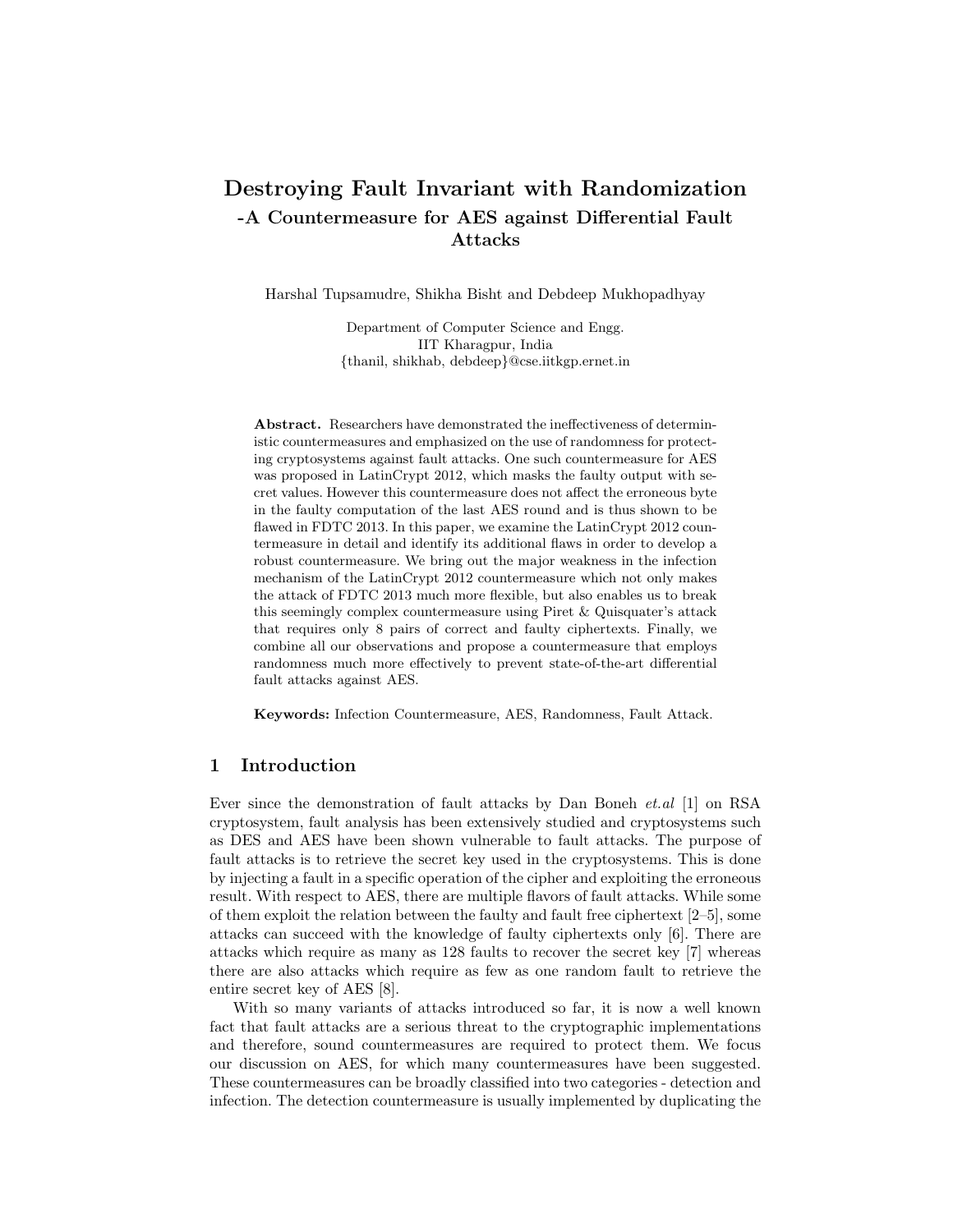# Destroying Fault Invariant with Randomization -A Countermeasure for AES against Differential Fault Attacks

Harshal Tupsamudre, Shikha Bisht and Debdeep Mukhopadhyay

Department of Computer Science and Engg. IIT Kharagpur, India {thanil, shikhab, debdeep}@cse.iitkgp.ernet.in

Abstract. Researchers have demonstrated the ineffectiveness of deterministic countermeasures and emphasized on the use of randomness for protecting cryptosystems against fault attacks. One such countermeasure for AES was proposed in LatinCrypt 2012, which masks the faulty output with secret values. However this countermeasure does not affect the erroneous byte in the faulty computation of the last AES round and is thus shown to be flawed in FDTC 2013. In this paper, we examine the LatinCrypt 2012 countermeasure in detail and identify its additional flaws in order to develop a robust countermeasure. We bring out the major weakness in the infection mechanism of the LatinCrypt 2012 countermeasure which not only makes the attack of FDTC 2013 much more flexible, but also enables us to break this seemingly complex countermeasure using Piret & Quisquater's attack that requires only 8 pairs of correct and faulty ciphertexts. Finally, we combine all our observations and propose a countermeasure that employs randomness much more effectively to prevent state-of-the-art differential fault attacks against AES.

Keywords: Infection Countermeasure, AES, Randomness, Fault Attack.

### 1 Introduction

Ever since the demonstration of fault attacks by Dan Boneh et.al [1] on RSA cryptosystem, fault analysis has been extensively studied and cryptosystems such as DES and AES have been shown vulnerable to fault attacks. The purpose of fault attacks is to retrieve the secret key used in the cryptosystems. This is done by injecting a fault in a specific operation of the cipher and exploiting the erroneous result. With respect to AES, there are multiple flavors of fault attacks. While some of them exploit the relation between the faulty and fault free ciphertext [2–5], some attacks can succeed with the knowledge of faulty ciphertexts only [6]. There are attacks which require as many as 128 faults to recover the secret key [7] whereas there are also attacks which require as few as one random fault to retrieve the entire secret key of AES [8].

With so many variants of attacks introduced so far, it is now a well known fact that fault attacks are a serious threat to the cryptographic implementations and therefore, sound countermeasures are required to protect them. We focus our discussion on AES, for which many countermeasures have been suggested. These countermeasures can be broadly classified into two categories - detection and infection. The detection countermeasure is usually implemented by duplicating the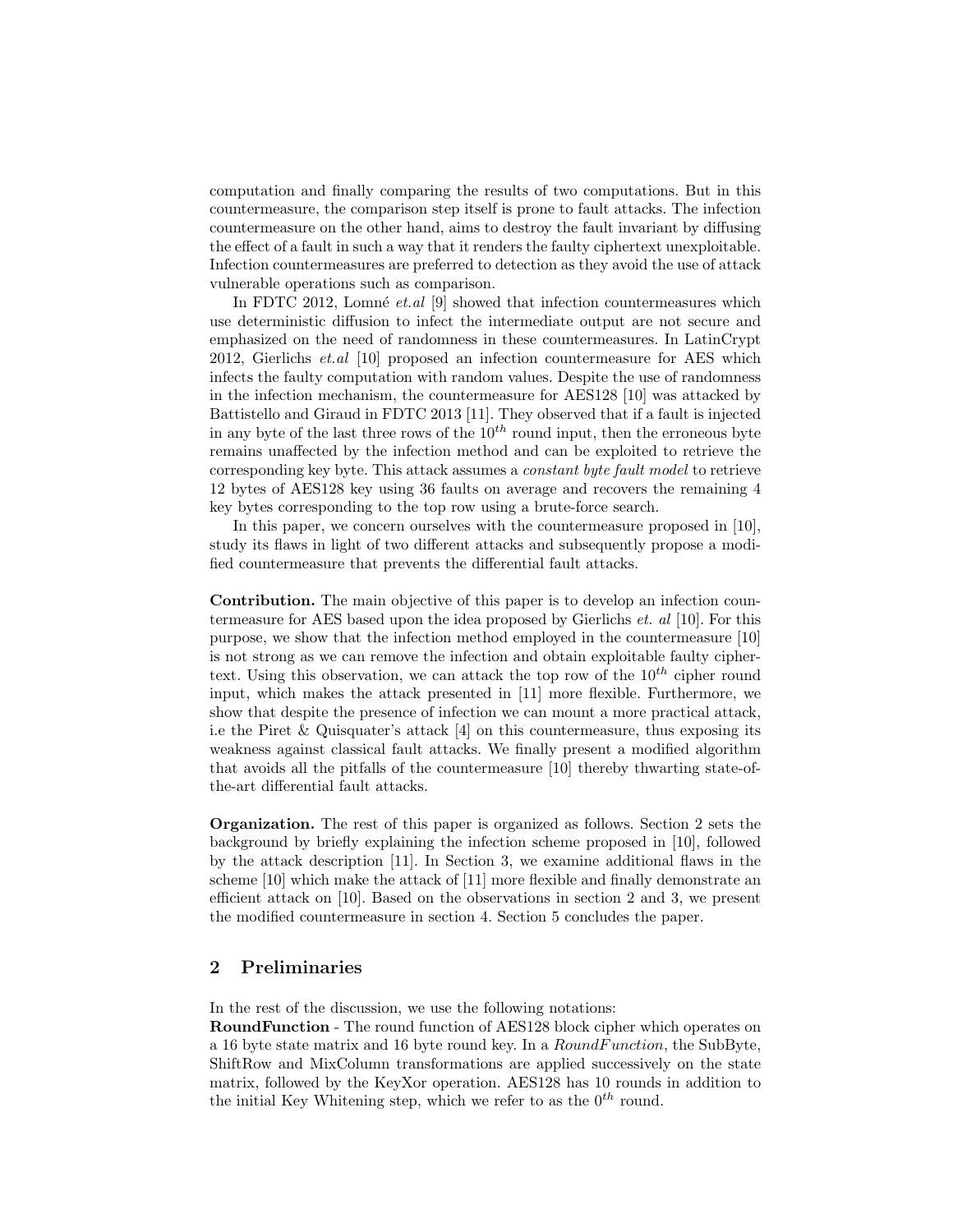computation and finally comparing the results of two computations. But in this countermeasure, the comparison step itself is prone to fault attacks. The infection countermeasure on the other hand, aims to destroy the fault invariant by diffusing the effect of a fault in such a way that it renders the faulty ciphertext unexploitable. Infection countermeasures are preferred to detection as they avoid the use of attack vulnerable operations such as comparison.

In FDTC 2012, Lomné *et.al* [9] showed that infection countermeasures which use deterministic diffusion to infect the intermediate output are not secure and emphasized on the need of randomness in these countermeasures. In LatinCrypt 2012, Gierlichs et.al [10] proposed an infection countermeasure for AES which infects the faulty computation with random values. Despite the use of randomness in the infection mechanism, the countermeasure for AES128 [10] was attacked by Battistello and Giraud in FDTC 2013 [11]. They observed that if a fault is injected in any byte of the last three rows of the  $10^{th}$  round input, then the erroneous byte remains unaffected by the infection method and can be exploited to retrieve the corresponding key byte. This attack assumes a constant byte fault model to retrieve 12 bytes of AES128 key using 36 faults on average and recovers the remaining 4 key bytes corresponding to the top row using a brute-force search.

In this paper, we concern ourselves with the countermeasure proposed in [10], study its flaws in light of two different attacks and subsequently propose a modified countermeasure that prevents the differential fault attacks.

Contribution. The main objective of this paper is to develop an infection countermeasure for AES based upon the idea proposed by Gierlichs et. al [10]. For this purpose, we show that the infection method employed in the countermeasure [10] is not strong as we can remove the infection and obtain exploitable faulty ciphertext. Using this observation, we can attack the top row of the  $10^{th}$  cipher round input, which makes the attack presented in [11] more flexible. Furthermore, we show that despite the presence of infection we can mount a more practical attack, i.e the Piret & Quisquater's attack [4] on this countermeasure, thus exposing its weakness against classical fault attacks. We finally present a modified algorithm that avoids all the pitfalls of the countermeasure [10] thereby thwarting state-ofthe-art differential fault attacks.

Organization. The rest of this paper is organized as follows. Section 2 sets the background by briefly explaining the infection scheme proposed in [10], followed by the attack description [11]. In Section 3, we examine additional flaws in the scheme [10] which make the attack of [11] more flexible and finally demonstrate an efficient attack on [10]. Based on the observations in section 2 and 3, we present the modified countermeasure in section 4. Section 5 concludes the paper.

### 2 Preliminaries

In the rest of the discussion, we use the following notations:

RoundFunction - The round function of AES128 block cipher which operates on a 16 byte state matrix and 16 byte round key. In a  $RoundFunction$ , the SubByte, ShiftRow and MixColumn transformations are applied successively on the state matrix, followed by the KeyXor operation. AES128 has 10 rounds in addition to the initial Key Whitening step, which we refer to as the  $0^{th}$  round.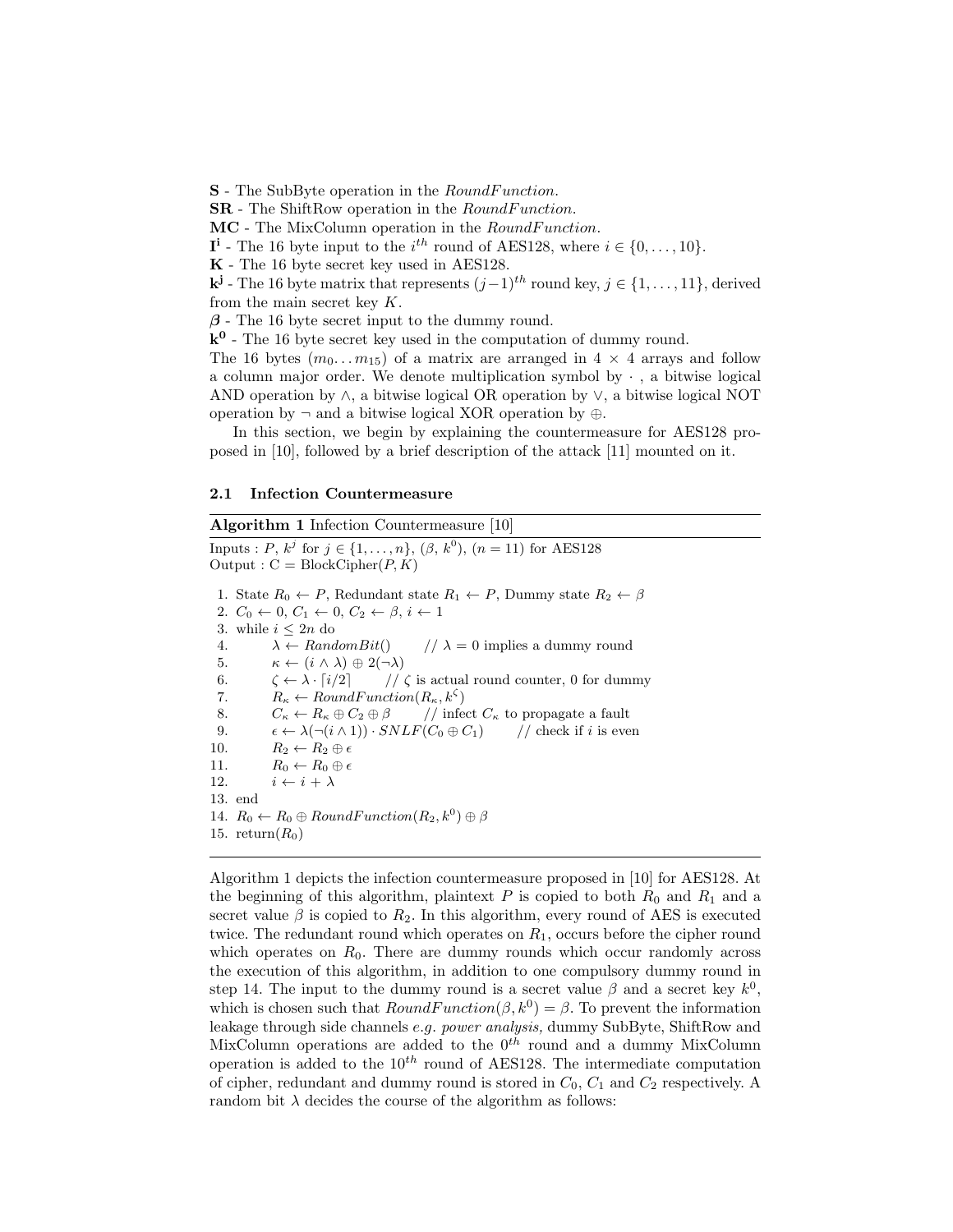**S** - The SubByte operation in the *RoundFunction*.

**SR** - The ShiftRow operation in the *RoundFunction*.

MC - The MixColumn operation in the *RoundFunction*.

 $I^i$  - The 16 byte input to the  $i^{th}$  round of AES128, where  $i \in \{0, \ldots, 10\}$ .

K - The 16 byte secret key used in AES128.

 $\mathbf{k}^{\mathbf{j}}$  - The 16 byte matrix that represents  $(j-1)^{th}$  round key,  $j \in \{1, \ldots, 11\}$ , derived from the main secret key K.

 $\beta$  - The 16 byte secret input to the dummy round.

 $k^0$  - The 16 byte secret key used in the computation of dummy round.

The 16 bytes  $(m_0...m_{15})$  of a matrix are arranged in  $4 \times 4$  arrays and follow a column major order. We denote multiplication symbol by  $\cdot$ , a bitwise logical AND operation by ∧, a bitwise logical OR operation by ∨, a bitwise logical NOT operation by  $\neg$  and a bitwise logical XOR operation by  $\oplus$ .

In this section, we begin by explaining the countermeasure for AES128 proposed in [10], followed by a brief description of the attack [11] mounted on it.

#### 2.1 Infection Countermeasure

#### Algorithm 1 Infection Countermeasure [10]

Inputs : P,  $k^j$  for  $j \in \{1, ..., n\}$ ,  $(\beta, k^0)$ ,  $(n = 11)$  for AES128 Output :  $C = BlockCipher(P, K)$ 1. State  $R_0 \leftarrow P$ , Redundant state  $R_1 \leftarrow P$ , Dummy state  $R_2 \leftarrow \beta$ 2.  $C_0 \leftarrow 0$ ,  $C_1 \leftarrow 0$ ,  $C_2 \leftarrow \beta$ ,  $i \leftarrow 1$ 3. while  $i \leq 2n$  do 4.  $\lambda \leftarrow RandomBit()$  //  $\lambda = 0$  implies a dummy round 5.  $\kappa \leftarrow (i \wedge \lambda) \oplus 2(\neg \lambda)$ 6.  $\zeta \leftarrow \lambda \cdot [i/2]$  //  $\zeta$  is actual round counter, 0 for dummy 7.  $R_{\kappa} \leftarrow RoundFunction(R_{\kappa}, k^{\zeta})$ 8.  $C_{\kappa} \leftarrow R_{\kappa} \oplus C_2 \oplus \beta$  // infect  $C_{\kappa}$  to propagate a fault 9.  $\epsilon \leftarrow \lambda(\neg(i \wedge 1)) \cdot SNLF(C_0 \oplus C_1)$  // check if i is even 10.  $R_2 \leftarrow R_2 \oplus \epsilon$ 11.  $R_0 \leftarrow R_0 \oplus \epsilon$ 12.  $i \leftarrow i + \lambda$ 13. end 14.  $R_0 \leftarrow R_0 \oplus RoundFunction(R_2, k^0) \oplus \beta$ 15. return $(R_0)$ 

Algorithm 1 depicts the infection countermeasure proposed in [10] for AES128. At the beginning of this algorithm, plaintext  $P$  is copied to both  $R_0$  and  $R_1$  and a secret value  $\beta$  is copied to  $R_2$ . In this algorithm, every round of AES is executed twice. The redundant round which operates on  $R_1$ , occurs before the cipher round which operates on  $R_0$ . There are dummy rounds which occur randomly across the execution of this algorithm, in addition to one compulsory dummy round in step 14. The input to the dummy round is a secret value  $\beta$  and a secret key  $k^0$ , which is chosen such that  $RoundFunction(\beta, k^0) = \beta$ . To prevent the information leakage through side channels e.g. power analysis, dummy SubByte, ShiftRow and MixColumn operations are added to the  $0^{th}$  round and a dummy MixColumn operation is added to the  $10^{th}$  round of AES128. The intermediate computation of cipher, redundant and dummy round is stored in  $C_0$ ,  $C_1$  and  $C_2$  respectively. A random bit  $\lambda$  decides the course of the algorithm as follows: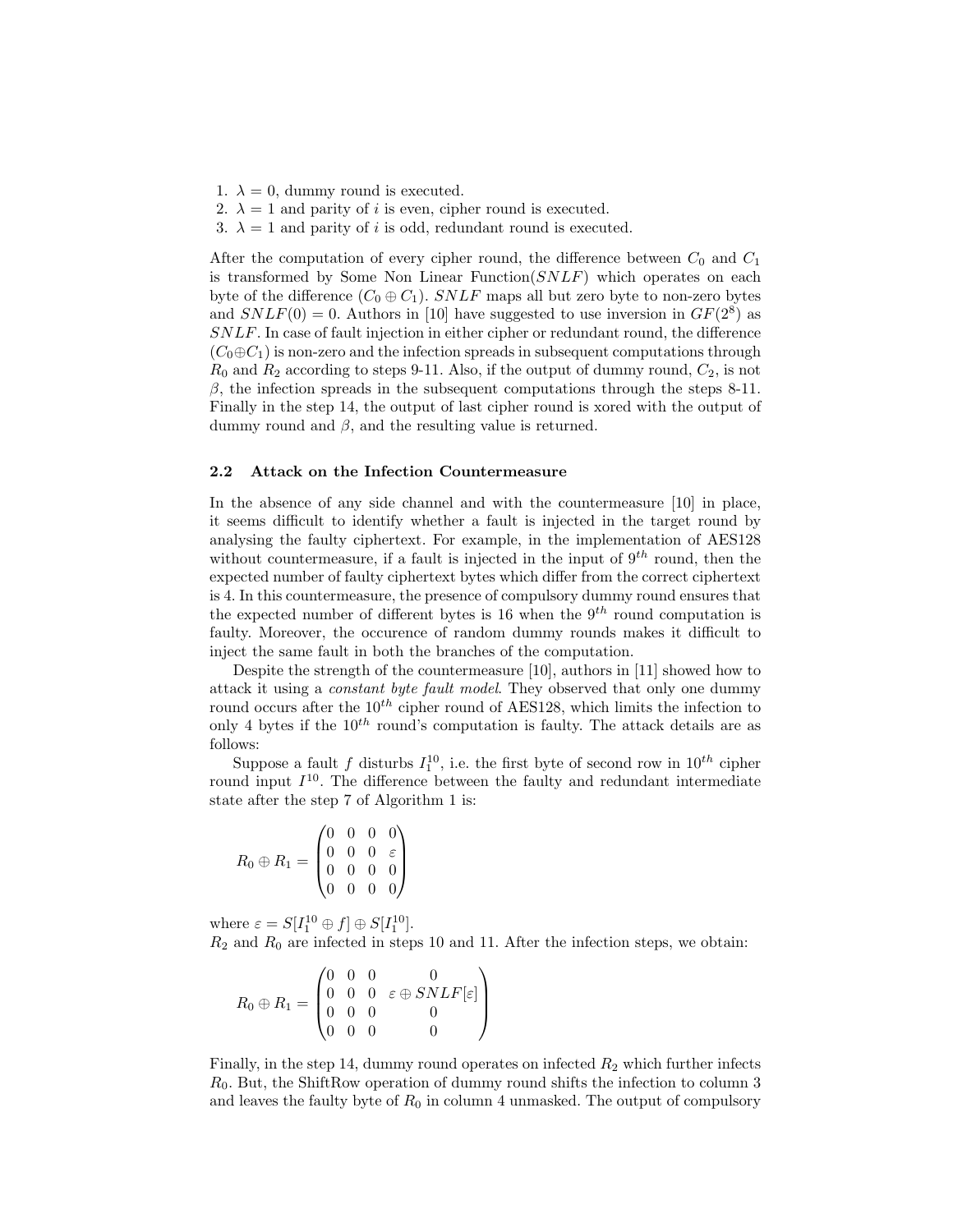- 1.  $\lambda = 0$ , dummy round is executed.
- 2.  $\lambda = 1$  and parity of *i* is even, cipher round is executed.
- 3.  $\lambda = 1$  and parity of i is odd, redundant round is executed.

After the computation of every cipher round, the difference between  $C_0$  and  $C_1$ is transformed by Some Non Linear Function(SNLF) which operates on each byte of the difference  $(C_0 \oplus C_1)$ . SNLF maps all but zero byte to non-zero bytes and  $SNLF(0) = 0$ . Authors in [10] have suggested to use inversion in  $GF(2<sup>8</sup>)$  as SNLF. In case of fault injection in either cipher or redundant round, the difference  $(C_0 \oplus C_1)$  is non-zero and the infection spreads in subsequent computations through  $R_0$  and  $R_2$  according to steps 9-11. Also, if the output of dummy round,  $C_2$ , is not β, the infection spreads in the subsequent computations through the steps  $8-11$ . Finally in the step 14, the output of last cipher round is xored with the output of dummy round and  $\beta$ , and the resulting value is returned.

#### 2.2 Attack on the Infection Countermeasure

In the absence of any side channel and with the countermeasure [10] in place, it seems difficult to identify whether a fault is injected in the target round by analysing the faulty ciphertext. For example, in the implementation of AES128 without countermeasure, if a fault is injected in the input of  $9^{th}$  round, then the expected number of faulty ciphertext bytes which differ from the correct ciphertext is 4. In this countermeasure, the presence of compulsory dummy round ensures that the expected number of different bytes is 16 when the  $9<sup>th</sup>$  round computation is faulty. Moreover, the occurence of random dummy rounds makes it difficult to inject the same fault in both the branches of the computation.

Despite the strength of the countermeasure [10], authors in [11] showed how to attack it using a constant byte fault model. They observed that only one dummy round occurs after the  $10^{th}$  cipher round of AES128, which limits the infection to only 4 bytes if the  $10^{th}$  round's computation is faulty. The attack details are as follows:

Suppose a fault f disturbs  $I_1^{10}$ , i.e. the first byte of second row in  $10^{th}$  cipher round input  $I^{10}$ . The difference between the faulty and redundant intermediate state after the step 7 of Algorithm 1 is:

 $R_0 \oplus R_1 =$  $\sqrt{ }$  $\overline{\phantom{a}}$ 0 0 0 0  $0 \t0 \t0 \t\varepsilon$ 0 0 0 0 0 0 0 0  $\setminus$  $\overline{\phantom{a}}$ 

where  $\varepsilon = S[I_1^{10} \oplus f] \oplus S[I_1^{10}]$ .

 $R_2$  and  $R_0$  are infected in steps 10 and 11. After the infection steps, we obtain:

$$
R_0 \oplus R_1 = \begin{pmatrix} 0 & 0 & 0 & 0 \\ 0 & 0 & 0 & \varepsilon \oplus SNLF[\varepsilon] \\ 0 & 0 & 0 & 0 \\ 0 & 0 & 0 & 0 \end{pmatrix}
$$

Finally, in the step 14, dummy round operates on infected  $R_2$  which further infects  $R_0$ . But, the ShiftRow operation of dummy round shifts the infection to column 3 and leaves the faulty byte of  $R_0$  in column 4 unmasked. The output of compulsory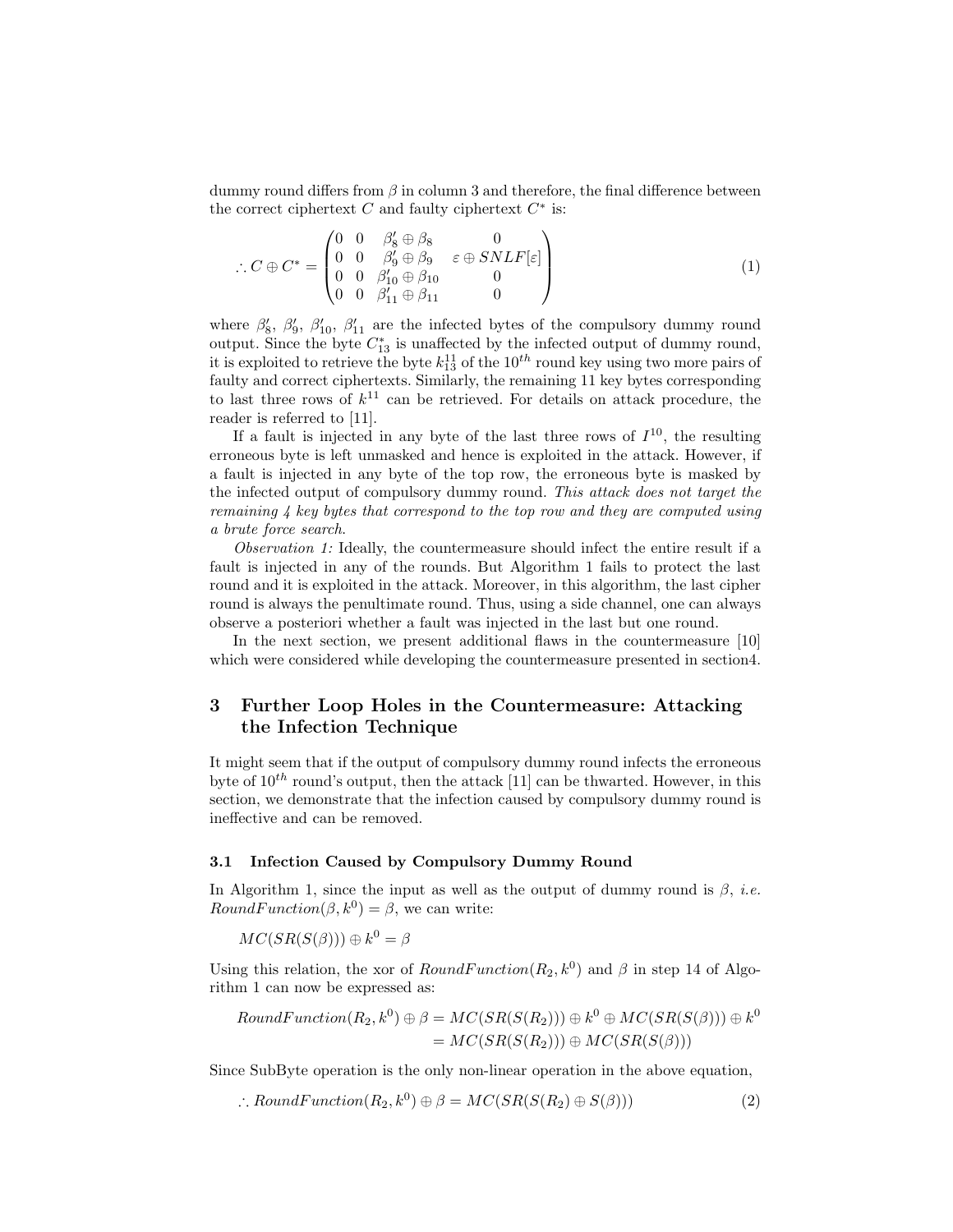dummy round differs from  $\beta$  in column 3 and therefore, the final difference between the correct ciphertext  $C$  and faulty ciphertext  $C^*$  is:

$$
\therefore C \oplus C^* = \begin{pmatrix} 0 & 0 & \beta'_8 \oplus \beta_8 & 0 \\ 0 & 0 & \beta'_9 \oplus \beta_9 & \varepsilon \oplus SNLF[\varepsilon] \\ 0 & 0 & \beta'_{10} \oplus \beta_{10} & 0 \\ 0 & 0 & \beta'_{11} \oplus \beta_{11} & 0 \end{pmatrix}
$$
(1)

where  $\beta'_8$ ,  $\beta'_9$ ,  $\beta'_{10}$ ,  $\beta'_{11}$  are the infected bytes of the compulsory dummy round output. Since the byte  $C_{13}^*$  is unaffected by the infected output of dummy round, it is exploited to retrieve the byte  $k_{13}^{11}$  of the  $10^{th}$  round key using two more pairs of faulty and correct ciphertexts. Similarly, the remaining 11 key bytes corresponding to last three rows of  $k^{11}$  can be retrieved. For details on attack procedure, the reader is referred to [11].

If a fault is injected in any byte of the last three rows of  $I^{10}$ , the resulting erroneous byte is left unmasked and hence is exploited in the attack. However, if a fault is injected in any byte of the top row, the erroneous byte is masked by the infected output of compulsory dummy round. This attack does not target the remaining 4 key bytes that correspond to the top row and they are computed using a brute force search.

Observation 1: Ideally, the countermeasure should infect the entire result if a fault is injected in any of the rounds. But Algorithm 1 fails to protect the last round and it is exploited in the attack. Moreover, in this algorithm, the last cipher round is always the penultimate round. Thus, using a side channel, one can always observe a posteriori whether a fault was injected in the last but one round.

In the next section, we present additional flaws in the countermeasure [10] which were considered while developing the countermeasure presented in section4.

# 3 Further Loop Holes in the Countermeasure: Attacking the Infection Technique

It might seem that if the output of compulsory dummy round infects the erroneous byte of  $10^{th}$  round's output, then the attack [11] can be thwarted. However, in this section, we demonstrate that the infection caused by compulsory dummy round is ineffective and can be removed.

#### 3.1 Infection Caused by Compulsory Dummy Round

In Algorithm 1, since the input as well as the output of dummy round is  $\beta$ , *i.e.*  $RoundFunction(\beta, k^0) = \beta$ , we can write:

$$
MC(SR(S(\beta))) \oplus k^0 = \beta
$$

Using this relation, the xor of  $RoundFunction(R_2, k^0)$  and  $\beta$  in step 14 of Algorithm 1 can now be expressed as:

$$
RoundFunction(R_2, k^0) \oplus \beta = MC(SR(S(R_2))) \oplus k^0 \oplus MC(SR(S(\beta))) \oplus k^0
$$
  
= 
$$
MC(SR(S(R_2))) \oplus MC(SR(S(\beta)))
$$

Since SubByte operation is the only non-linear operation in the above equation,

$$
\therefore RoundFunction(R_2, k^0) \oplus \beta = MC(SR(S(R_2) \oplus S(\beta))) \tag{2}
$$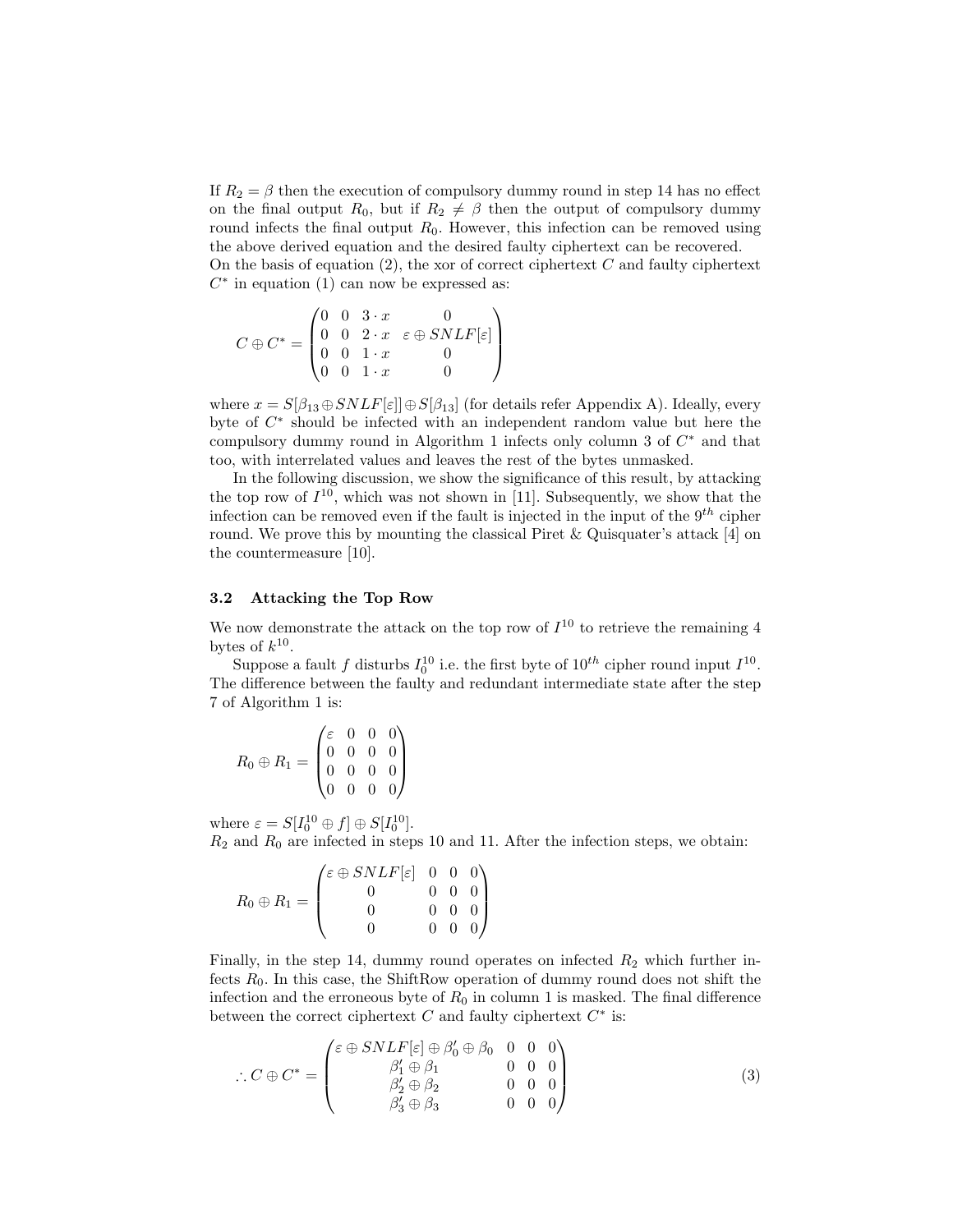If  $R_2 = \beta$  then the execution of compulsory dummy round in step 14 has no effect on the final output  $R_0$ , but if  $R_2 \neq \beta$  then the output of compulsory dummy round infects the final output  $R_0$ . However, this infection can be removed using the above derived equation and the desired faulty ciphertext can be recovered. On the basis of equation  $(2)$ , the xor of correct ciphertext C and faulty ciphertext  $C^*$  in equation (1) can now be expressed as:

$$
C \oplus C^* = \begin{pmatrix} 0 & 0 & 3 \cdot x & 0 \\ 0 & 0 & 2 \cdot x & \varepsilon \oplus SNLF[\varepsilon] \\ 0 & 0 & 1 \cdot x & 0 \\ 0 & 0 & 1 \cdot x & 0 \end{pmatrix}
$$

where  $x = S[\beta_{13} \oplus SNLF[\varepsilon]] \oplus S[\beta_{13}]$  (for details refer Appendix A). Ideally, every byte of C ∗ should be infected with an independent random value but here the compulsory dummy round in Algorithm 1 infects only column 3 of  $C^*$  and that too, with interrelated values and leaves the rest of the bytes unmasked.

In the following discussion, we show the significance of this result, by attacking the top row of  $I^{10}$ , which was not shown in [11]. Subsequently, we show that the infection can be removed even if the fault is injected in the input of the  $9<sup>th</sup>$  cipher round. We prove this by mounting the classical Piret & Quisquater's attack [4] on the countermeasure [10].

#### 3.2 Attacking the Top Row

We now demonstrate the attack on the top row of  $I^{10}$  to retrieve the remaining 4 bytes of  $k^{10}$ .

Suppose a fault f disturbs  $I_0^{10}$  i.e. the first byte of  $10^{th}$  cipher round input  $I^{10}$ . The difference between the faulty and redundant intermediate state after the step 7 of Algorithm 1 is:

$$
R_0 \oplus R_1 = \begin{pmatrix} \varepsilon & 0 & 0 & 0 \\ 0 & 0 & 0 & 0 \\ 0 & 0 & 0 & 0 \\ 0 & 0 & 0 & 0 \end{pmatrix}
$$

where  $\varepsilon = S[I_0^{10} \oplus f] \oplus S[I_0^{10}]$ .

 $R_2$  and  $R_0$  are infected in steps 10 and 11. After the infection steps, we obtain:

$$
R_0 \oplus R_1 = \begin{pmatrix} \varepsilon \oplus SNLF[\varepsilon] & 0 & 0 & 0 \\ 0 & 0 & 0 & 0 \\ 0 & 0 & 0 & 0 \\ 0 & 0 & 0 & 0 \end{pmatrix}
$$

Finally, in the step 14, dummy round operates on infected  $R_2$  which further infects  $R_0$ . In this case, the ShiftRow operation of dummy round does not shift the infection and the erroneous byte of  $R_0$  in column 1 is masked. The final difference between the correct ciphertext  $C$  and faulty ciphertext  $C^*$  is:

$$
\therefore C \oplus C^* = \begin{pmatrix} \varepsilon \oplus SNLF[\varepsilon] \oplus \beta_0' \oplus \beta_0 & 0 & 0 & 0 \\ \beta_1' \oplus \beta_1 & 0 & 0 & 0 \\ \beta_2' \oplus \beta_2 & 0 & 0 & 0 \\ \beta_3' \oplus \beta_3 & 0 & 0 & 0 \end{pmatrix}
$$
(3)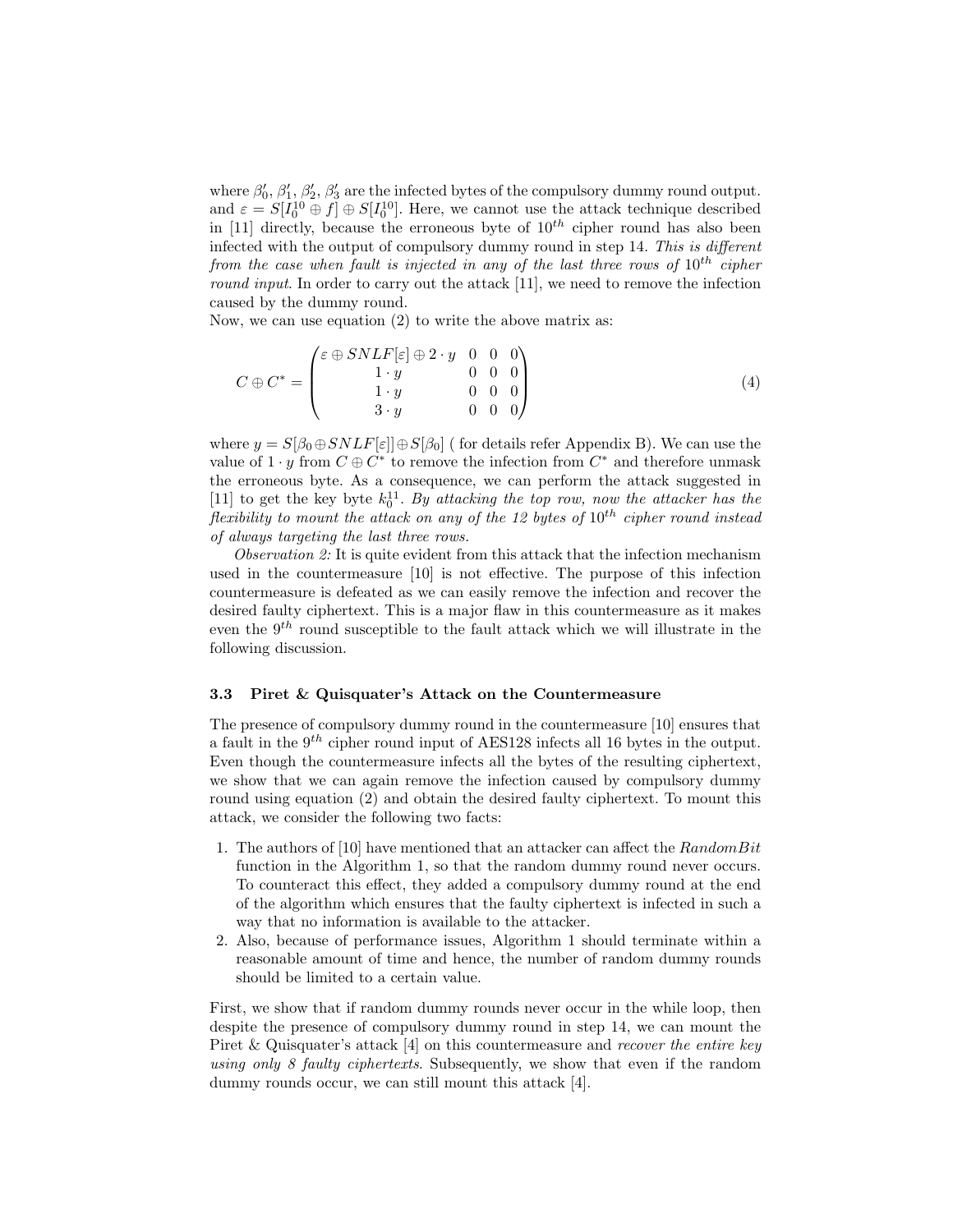where  $\beta'_0$ ,  $\beta'_1$ ,  $\beta'_2$ ,  $\beta'_3$  are the infected bytes of the compulsory dummy round output. and  $\varepsilon = S[I_0^{10} \oplus f] \oplus S[I_0^{10}]$ . Here, we cannot use the attack technique described in [11] directly, because the erroneous byte of  $10^{th}$  cipher round has also been infected with the output of compulsory dummy round in step 14. This is different from the case when fault is injected in any of the last three rows of  $10^{th}$  cipher round input. In order to carry out the attack [11], we need to remove the infection caused by the dummy round.

Now, we can use equation (2) to write the above matrix as:

$$
C \oplus C^* = \begin{pmatrix} \varepsilon \oplus SNLF[\varepsilon] \oplus 2 \cdot y & 0 & 0 & 0 \\ 1 \cdot y & 0 & 0 & 0 \\ 1 \cdot y & 0 & 0 & 0 \\ 3 \cdot y & 0 & 0 & 0 \end{pmatrix}
$$
(4)

where  $y = S[\beta_0 \oplus SNLF[\varepsilon]] \oplus S[\beta_0]$  ( for details refer Appendix B). We can use the value of  $1 \cdot y$  from  $C \oplus C^*$  to remove the infection from  $C^*$  and therefore unmask the erroneous byte. As a consequence, we can perform the attack suggested in [11] to get the key byte  $k_0^{11}$ . By attacking the top row, now the attacker has the flexibility to mount the attack on any of the 12 bytes of  $10^{th}$  cipher round instead of always targeting the last three rows.

Observation 2: It is quite evident from this attack that the infection mechanism used in the countermeasure [10] is not effective. The purpose of this infection countermeasure is defeated as we can easily remove the infection and recover the desired faulty ciphertext. This is a major flaw in this countermeasure as it makes even the  $9<sup>th</sup>$  round susceptible to the fault attack which we will illustrate in the following discussion.

#### 3.3 Piret & Quisquater's Attack on the Countermeasure

The presence of compulsory dummy round in the countermeasure [10] ensures that a fault in the  $9<sup>th</sup>$  cipher round input of AES128 infects all 16 bytes in the output. Even though the countermeasure infects all the bytes of the resulting ciphertext, we show that we can again remove the infection caused by compulsory dummy round using equation (2) and obtain the desired faulty ciphertext. To mount this attack, we consider the following two facts:

- 1. The authors of [10] have mentioned that an attacker can affect the  $RandomBit$ function in the Algorithm 1, so that the random dummy round never occurs. To counteract this effect, they added a compulsory dummy round at the end of the algorithm which ensures that the faulty ciphertext is infected in such a way that no information is available to the attacker.
- 2. Also, because of performance issues, Algorithm 1 should terminate within a reasonable amount of time and hence, the number of random dummy rounds should be limited to a certain value.

First, we show that if random dummy rounds never occur in the while loop, then despite the presence of compulsory dummy round in step 14, we can mount the Piret  $\&$  Quisquater's attack [4] on this countermeasure and *recover the entire key* using only 8 faulty ciphertexts. Subsequently, we show that even if the random dummy rounds occur, we can still mount this attack [4].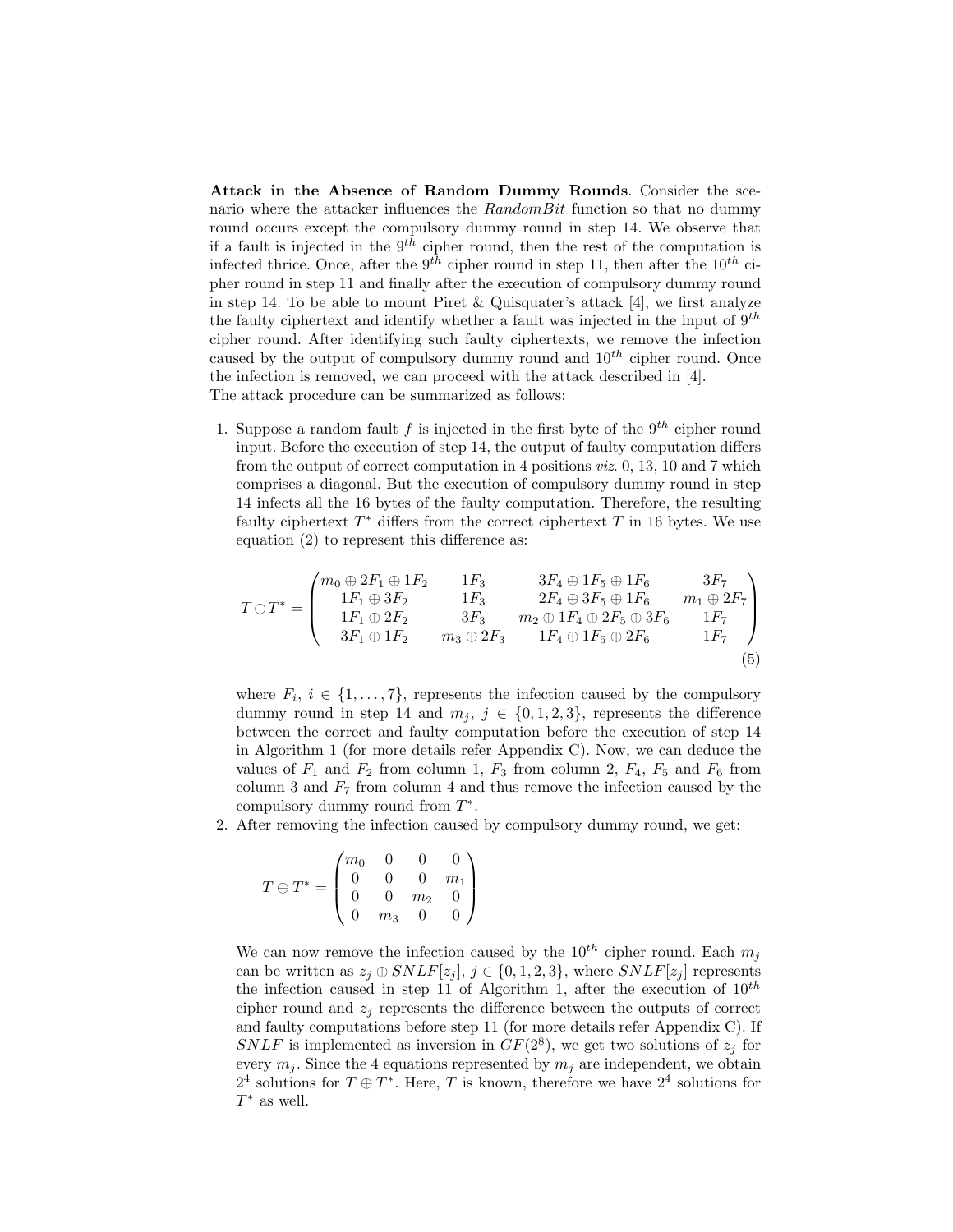Attack in the Absence of Random Dummy Rounds. Consider the scenario where the attacker influences the  $RandomBit$  function so that no dummy round occurs except the compulsory dummy round in step 14. We observe that if a fault is injected in the  $9^{th}$  cipher round, then the rest of the computation is infected thrice. Once, after the  $9^{th}$  cipher round in step 11, then after the  $10^{th}$  cipher round in step 11 and finally after the execution of compulsory dummy round in step 14. To be able to mount Piret & Quisquater's attack [4], we first analyze the faulty ciphertext and identify whether a fault was injected in the input of  $9^{th}$ cipher round. After identifying such faulty ciphertexts, we remove the infection caused by the output of compulsory dummy round and  $10^{th}$  cipher round. Once the infection is removed, we can proceed with the attack described in [4]. The attack procedure can be summarized as follows:

1. Suppose a random fault f is injected in the first byte of the  $9<sup>th</sup>$  cipher round input. Before the execution of step 14, the output of faulty computation differs from the output of correct computation in 4 positions viz. 0, 13, 10 and 7 which comprises a diagonal. But the execution of compulsory dummy round in step 14 infects all the 16 bytes of the faulty computation. Therefore, the resulting faulty ciphertext  $T^*$  differs from the correct ciphertext  $T$  in 16 bytes. We use equation (2) to represent this difference as:

$$
T \oplus T^* = \begin{pmatrix} m_0 \oplus 2F_1 \oplus 1F_2 & 1F_3 & 3F_4 \oplus 1F_5 \oplus 1F_6 & 3F_7 \\ 1F_1 \oplus 3F_2 & 1F_3 & 2F_4 \oplus 3F_5 \oplus 1F_6 & m_1 \oplus 2F_7 \\ 1F_1 \oplus 2F_2 & 3F_3 & m_2 \oplus 1F_4 \oplus 2F_5 \oplus 3F_6 & 1F_7 \\ 3F_1 \oplus 1F_2 & m_3 \oplus 2F_3 & 1F_4 \oplus 1F_5 \oplus 2F_6 & 1F_7 \end{pmatrix}
$$
(5)

where  $F_i, i \in \{1, \ldots, 7\}$ , represents the infection caused by the compulsory dummy round in step 14 and  $m_j$ ,  $j \in \{0, 1, 2, 3\}$ , represents the difference between the correct and faulty computation before the execution of step 14 in Algorithm 1 (for more details refer Appendix C). Now, we can deduce the values of  $F_1$  and  $F_2$  from column 1,  $F_3$  from column 2,  $F_4$ ,  $F_5$  and  $F_6$  from column 3 and  $F_7$  from column 4 and thus remove the infection caused by the compulsory dummy round from  $T^*$ .

2. After removing the infection caused by compulsory dummy round, we get:

$$
T \oplus T^* = \begin{pmatrix} m_0 & 0 & 0 & 0 \\ 0 & 0 & 0 & m_1 \\ 0 & 0 & m_2 & 0 \\ 0 & m_3 & 0 & 0 \end{pmatrix}
$$

We can now remove the infection caused by the  $10^{th}$  cipher round. Each  $m_i$ can be written as  $z_i \oplus SNLF[z_i], j \in \{0, 1, 2, 3\},\$  where  $SNLF[z_i]$  represents the infection caused in step 11 of Algorithm 1, after the execution of  $10^{th}$ cipher round and  $z_i$  represents the difference between the outputs of correct and faulty computations before step 11 (for more details refer Appendix C). If SNLF is implemented as inversion in  $GF(2^8)$ , we get two solutions of  $z_j$  for every  $m_i$ . Since the 4 equations represented by  $m_i$  are independent, we obtain  $2<sup>4</sup>$  solutions for  $T \oplus T^*$ . Here, T is known, therefore we have  $2<sup>4</sup>$  solutions for  $T^*$  as well.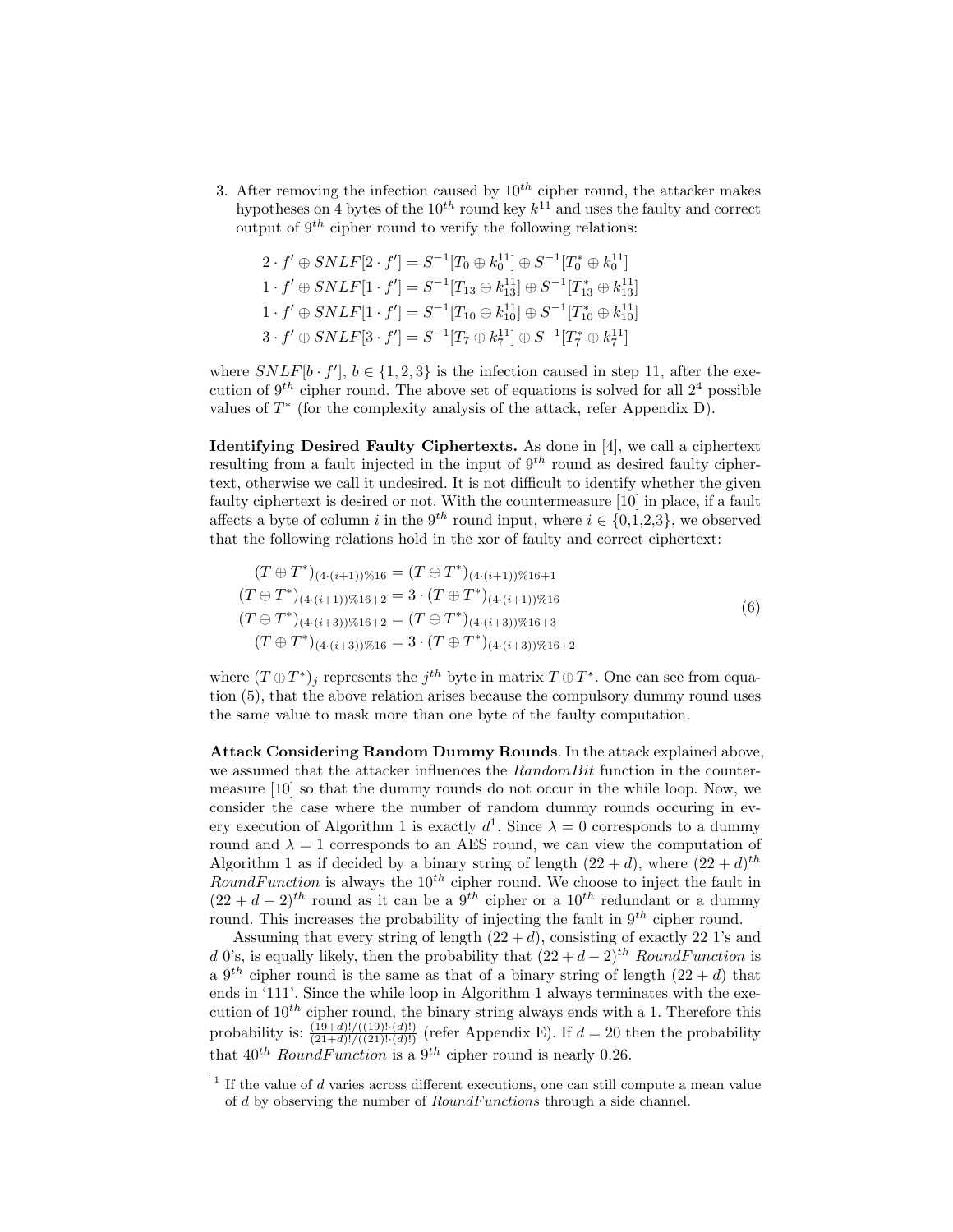3. After removing the infection caused by  $10^{th}$  cipher round, the attacker makes hypotheses on 4 bytes of the  $10^{th}$  round key  $k^{11}$  and uses the faulty and correct output of  $9<sup>th</sup>$  cipher round to verify the following relations:

$$
2 \cdot f' \oplus SNLF[2 \cdot f'] = S^{-1}[T_0 \oplus k_0^{11}] \oplus S^{-1}[T_0^* \oplus k_0^{11}]
$$
  
\n
$$
1 \cdot f' \oplus SNLF[1 \cdot f'] = S^{-1}[T_{13} \oplus k_{13}^{11}] \oplus S^{-1}[T_{13}^* \oplus k_{13}^{11}]
$$
  
\n
$$
1 \cdot f' \oplus SNLF[1 \cdot f'] = S^{-1}[T_{10} \oplus k_{10}^{11}] \oplus S^{-1}[T_1^* \oplus k_{10}^{11}]
$$
  
\n
$$
3 \cdot f' \oplus SNLF[3 \cdot f'] = S^{-1}[T_7 \oplus k_7^{11}] \oplus S^{-1}[T_7^* \oplus k_7^{11}]
$$

where  $SNLF[b \cdot f'], b \in \{1, 2, 3\}$  is the infection caused in step 11, after the execution of  $9<sup>th</sup>$  cipher round. The above set of equations is solved for all  $2<sup>4</sup>$  possible values of  $T^*$  (for the complexity analysis of the attack, refer Appendix D).

Identifying Desired Faulty Ciphertexts. As done in [4], we call a ciphertext resulting from a fault injected in the input of  $9^{th}$  round as desired faulty ciphertext, otherwise we call it undesired. It is not difficult to identify whether the given faulty ciphertext is desired or not. With the countermeasure [10] in place, if a fault affects a byte of column i in the 9<sup>th</sup> round input, where  $i \in \{0,1,2,3\}$ , we observed that the following relations hold in the xor of faulty and correct ciphertext:

$$
(T \oplus T^*)_{(4\cdot(i+1))\%16} = (T \oplus T^*)_{(4\cdot(i+1))\%16+1}
$$
  
\n
$$
(T \oplus T^*)_{(4\cdot(i+1))\%16+2} = 3 \cdot (T \oplus T^*)_{(4\cdot(i+1))\%16}
$$
  
\n
$$
(T \oplus T^*)_{(4\cdot(i+3))\%16+2} = (T \oplus T^*)_{(4\cdot(i+3))\%16+3}
$$
  
\n
$$
(T \oplus T^*)_{(4\cdot(i+3))\%16} = 3 \cdot (T \oplus T^*)_{(4\cdot(i+3))\%16+2}
$$
  
\n(6)

where  $(T \oplus T^*)_j$  represents the  $j^{th}$  byte in matrix  $T \oplus T^*$ . One can see from equation (5), that the above relation arises because the compulsory dummy round uses the same value to mask more than one byte of the faulty computation.

Attack Considering Random Dummy Rounds. In the attack explained above, we assumed that the attacker influences the  $RandomBit$  function in the countermeasure [10] so that the dummy rounds do not occur in the while loop. Now, we consider the case where the number of random dummy rounds occuring in every execution of Algorithm 1 is exactly  $d^1$ . Since  $\lambda = 0$  corresponds to a dummy round and  $\lambda = 1$  corresponds to an AES round, we can view the computation of Algorithm 1 as if decided by a binary string of length  $(22 + d)$ , where  $(22 + d)^{th}$ RoundFunction is always the  $10^{th}$  cipher round. We choose to inject the fault in  $(22 + d - 2)^{th}$  round as it can be a  $9^{th}$  cipher or a  $10^{th}$  redundant or a dummy round. This increases the probability of injecting the fault in  $9<sup>th</sup>$  cipher round.

Assuming that every string of length  $(22 + d)$ , consisting of exactly 22 1's and d 0's, is equally likely, then the probability that  $(22 + d - 2)^{th}$  RoundFunction is a 9<sup>th</sup> cipher round is the same as that of a binary string of length  $(22 + d)$  that ends in '111'. Since the while loop in Algorithm 1 always terminates with the execution of  $10^{th}$  cipher round, the binary string always ends with a 1. Therefore this probability is:  $\frac{(19+d)!}{(21+d)!((21)!(d)!)}$  (refer Appendix E). If  $d=20$  then the probability that  $40^{th}$  RoundFunction is a  $9^{th}$  cipher round is nearly 0.26.

 $<sup>1</sup>$  If the value of  $d$  varies across different executions, one can still compute a mean value</sup> of  $d$  by observing the number of  $RoundFunctions$  through a side channel.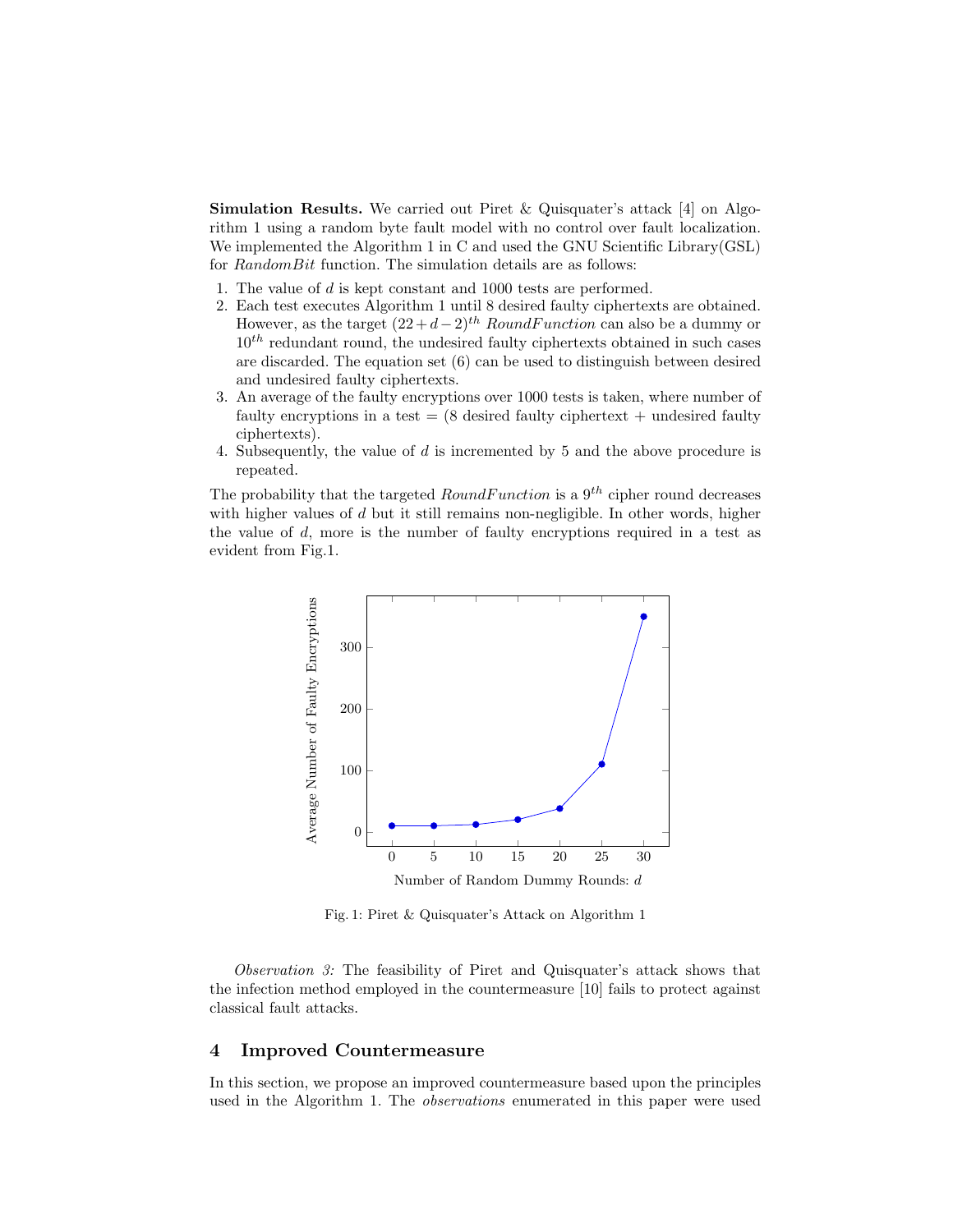**Simulation Results.** We carried out Piret & Quisquater's attack [4] on Algorithm 1 using a random byte fault model with no control over fault localization. We implemented the Algorithm 1 in C and used the GNU Scientific Library(GSL) for RandomBit function. The simulation details are as follows:

- 1. The value of d is kept constant and 1000 tests are performed.
- 2. Each test executes Algorithm 1 until 8 desired faulty ciphertexts are obtained. However, as the target  $(22 + d - 2)^{th}$  RoundFunction can also be a dummy or  $10<sup>th</sup>$  redundant round, the undesired faulty ciphertexts obtained in such cases are discarded. The equation set (6) can be used to distinguish between desired and undesired faulty ciphertexts.
- 3. An average of the faulty encryptions over 1000 tests is taken, where number of faulty encryptions in a test  $= (8 \text{ desired faulty ciphertext} + \text{undesired faulty})$ ciphertexts).
- 4. Subsequently, the value of  $d$  is incremented by 5 and the above procedure is repeated.

The probability that the targeted  $RoundFunction$  is a  $9<sup>th</sup>$  cipher round decreases with higher values of  $d$  but it still remains non-negligible. In other words, higher the value of  $d$ , more is the number of faulty encryptions required in a test as evident from Fig.1.



Fig. 1: Piret & Quisquater's Attack on Algorithm 1

Observation 3: The feasibility of Piret and Quisquater's attack shows that the infection method employed in the countermeasure [10] fails to protect against classical fault attacks.

### 4 Improved Countermeasure

In this section, we propose an improved countermeasure based upon the principles used in the Algorithm 1. The *observations* enumerated in this paper were used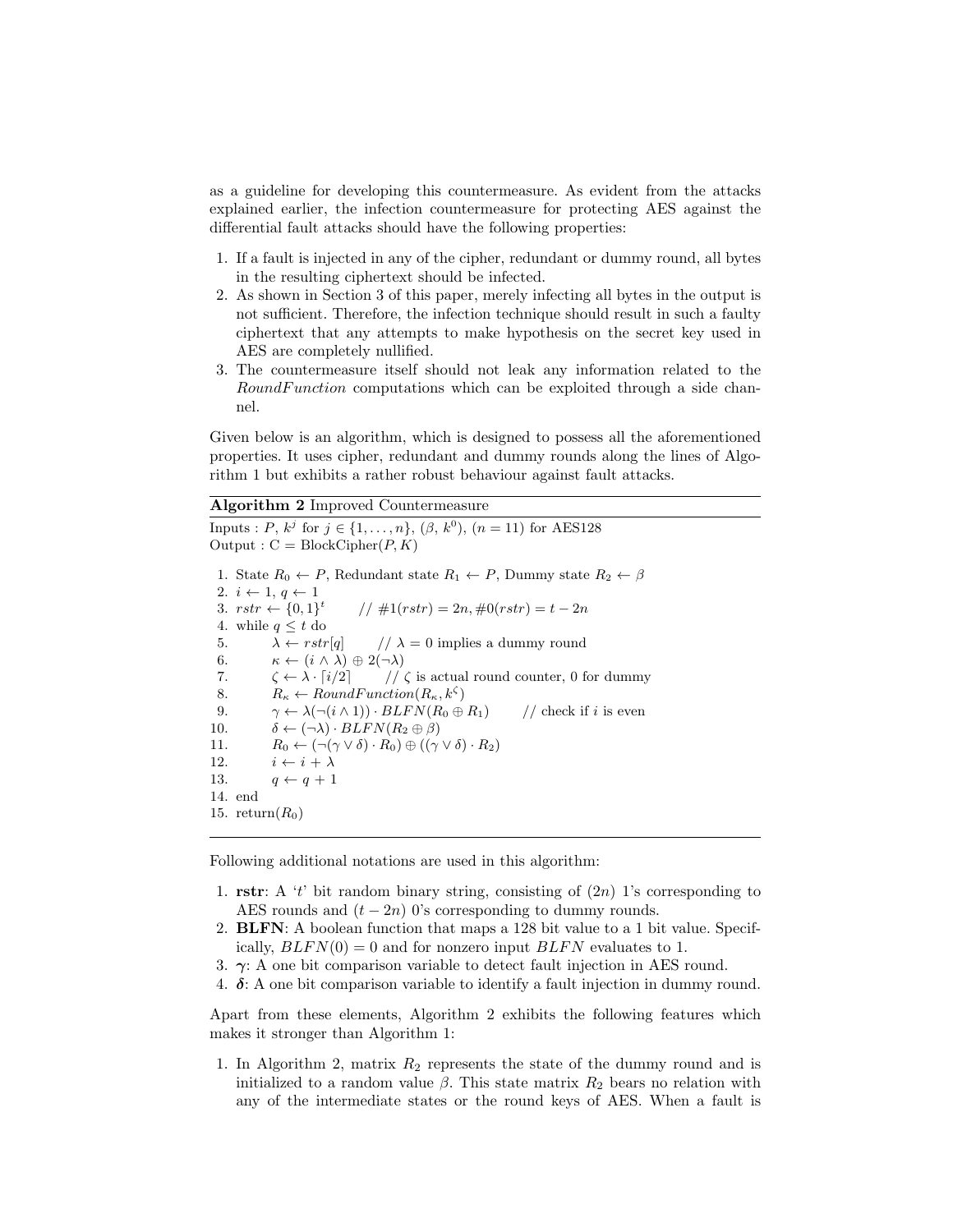as a guideline for developing this countermeasure. As evident from the attacks explained earlier, the infection countermeasure for protecting AES against the differential fault attacks should have the following properties:

- 1. If a fault is injected in any of the cipher, redundant or dummy round, all bytes in the resulting ciphertext should be infected.
- 2. As shown in Section 3 of this paper, merely infecting all bytes in the output is not sufficient. Therefore, the infection technique should result in such a faulty ciphertext that any attempts to make hypothesis on the secret key used in AES are completely nullified.
- 3. The countermeasure itself should not leak any information related to the RoundFunction computations which can be exploited through a side channel.

Given below is an algorithm, which is designed to possess all the aforementioned properties. It uses cipher, redundant and dummy rounds along the lines of Algorithm 1 but exhibits a rather robust behaviour against fault attacks.

#### Algorithm 2 Improved Countermeasure

Inputs : P,  $k^j$  for  $j \in \{1, ..., n\}$ ,  $(\beta, k^0)$ ,  $(n = 11)$  for AES128 Output :  $C = BlockCipher(P, K)$ 1. State  $R_0 \leftarrow P$ , Redundant state  $R_1 \leftarrow P$ , Dummy state  $R_2 \leftarrow \beta$ 2.  $i \leftarrow 1, q \leftarrow 1$ 3.  $rstr \leftarrow \{0,1\}^t$  $// #1(rstr) = 2n, #0(rstr) = t - 2n$ 4. while  $q \leq t$  do 5.  $\lambda \leftarrow rstr[q]$  //  $\lambda = 0$  implies a dummy round 6.  $\kappa \leftarrow (i \wedge \lambda) \oplus 2(\neg \lambda)$ 7.  $\zeta \leftarrow \lambda \cdot [i/2]$  //  $\zeta$  is actual round counter, 0 for dummy 8.  $R_{\kappa} \leftarrow RoundFunction(R_{\kappa}, k^{\zeta})$ 9.  $\gamma \leftarrow \lambda(\neg(i \wedge 1)) \cdot BLFN(R_0 \oplus R_1)$  // check if i is even 10.  $\delta \leftarrow (\neg \lambda) \cdot BLFN(R_2 \oplus \beta)$ 11.  $R_0 \leftarrow (\neg(\gamma \vee \delta) \cdot R_0) \oplus ((\gamma \vee \delta) \cdot R_2)$ 12.  $i \leftarrow i + \lambda$ 13.  $q \leftarrow q + 1$ 14. end 15. return $(R_0)$ 

Following additional notations are used in this algorithm:

- 1. rstr: A 't' bit random binary string, consisting of  $(2n)$  1's corresponding to AES rounds and  $(t - 2n)$  0's corresponding to dummy rounds.
- 2. BLFN: A boolean function that maps a 128 bit value to a 1 bit value. Specifically,  $BLFN(0) = 0$  and for nonzero input  $BLFN$  evaluates to 1.
- 3.  $\gamma$ : A one bit comparison variable to detect fault injection in AES round.
- 4.  $\delta$ : A one bit comparison variable to identify a fault injection in dummy round.

Apart from these elements, Algorithm 2 exhibits the following features which makes it stronger than Algorithm 1:

1. In Algorithm 2, matrix  $R_2$  represents the state of the dummy round and is initialized to a random value  $\beta$ . This state matrix  $R_2$  bears no relation with any of the intermediate states or the round keys of AES. When a fault is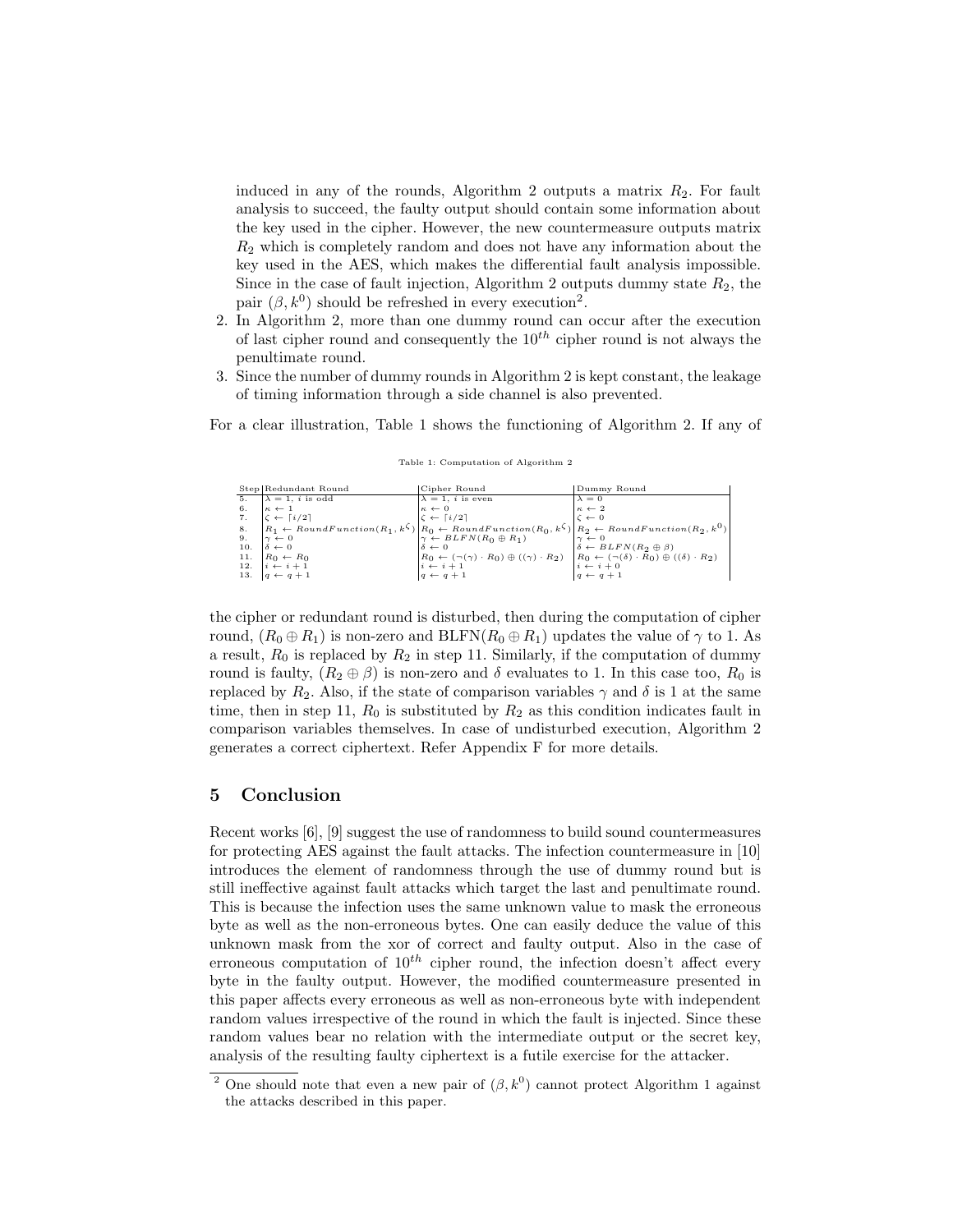induced in any of the rounds, Algorithm 2 outputs a matrix  $R_2$ . For fault analysis to succeed, the faulty output should contain some information about the key used in the cipher. However, the new countermeasure outputs matrix  $R<sub>2</sub>$  which is completely random and does not have any information about the key used in the AES, which makes the differential fault analysis impossible. Since in the case of fault injection, Algorithm 2 outputs dummy state  $R_2$ , the pair  $(\beta, k^0)$  should be refreshed in every execution<sup>2</sup>.

- 2. In Algorithm 2, more than one dummy round can occur after the execution of last cipher round and consequently the  $10^{th}$  cipher round is not always the penultimate round.
- 3. Since the number of dummy rounds in Algorithm 2 is kept constant, the leakage of timing information through a side channel is also prevented.

For a clear illustration, Table 1 shows the functioning of Algorithm 2. If any of

|    | Step Redundant Round                                                                                                                                                                                                                                                                                                                                                                                                                                                                                                                          | Cipher Round                     | Dummy Round                                                                               |
|----|-----------------------------------------------------------------------------------------------------------------------------------------------------------------------------------------------------------------------------------------------------------------------------------------------------------------------------------------------------------------------------------------------------------------------------------------------------------------------------------------------------------------------------------------------|----------------------------------|-------------------------------------------------------------------------------------------|
| 5. | $\lambda = 1$ , <i>i</i> is odd                                                                                                                                                                                                                                                                                                                                                                                                                                                                                                               | $\lambda = 1$ , <i>i</i> is even | $\begin{array}{l}\n\lambda = 0 \\ \kappa \leftarrow 2 \\ \zeta \leftarrow 0\n\end{array}$ |
|    |                                                                                                                                                                                                                                                                                                                                                                                                                                                                                                                                               |                                  |                                                                                           |
|    |                                                                                                                                                                                                                                                                                                                                                                                                                                                                                                                                               |                                  |                                                                                           |
|    | $\begin{array}{lllllllllllll} \delta. & \begin{matrix} \kappa & -1 \\ \kappa & -1 \\ \kappa & +1 \end{matrix} & \begin{matrix} \kappa & -1 \\ \kappa & -1 \end{matrix} & \begin{matrix} \kappa & -1 \\ \kappa & -1 \end{matrix} & \begin{matrix} \kappa & -1 \\ \kappa & -1 \end{matrix} & \begin{matrix} \kappa & -1 \\ \kappa & -1 \end{matrix} & \begin{matrix} \kappa & -1 \\ \kappa & -1 \end{matrix} & \begin{matrix} \kappa & -1 \\ \kappa & -1 \end{matrix} & \begin{matrix} \kappa & -1 \\ \kappa & -1 \end{matrix} & \begin{matrix$ |                                  |                                                                                           |
|    |                                                                                                                                                                                                                                                                                                                                                                                                                                                                                                                                               |                                  |                                                                                           |
|    | 10. $\delta \leftarrow 0$                                                                                                                                                                                                                                                                                                                                                                                                                                                                                                                     |                                  |                                                                                           |
|    | 11. $R_0 \leftarrow R_0$<br>12. $i \leftarrow i+1$<br>13. $q \leftarrow q+1$                                                                                                                                                                                                                                                                                                                                                                                                                                                                  |                                  |                                                                                           |
|    |                                                                                                                                                                                                                                                                                                                                                                                                                                                                                                                                               |                                  |                                                                                           |
|    |                                                                                                                                                                                                                                                                                                                                                                                                                                                                                                                                               |                                  |                                                                                           |
|    |                                                                                                                                                                                                                                                                                                                                                                                                                                                                                                                                               |                                  |                                                                                           |

Table 1: Computation of Algorithm 2

the cipher or redundant round is disturbed, then during the computation of cipher round,  $(R_0 \oplus R_1)$  is non-zero and BLFN $(R_0 \oplus R_1)$  updates the value of  $\gamma$  to 1. As a result,  $R_0$  is replaced by  $R_2$  in step 11. Similarly, if the computation of dummy round is faulty,  $(R_2 \oplus \beta)$  is non-zero and δ evaluates to 1. In this case too,  $R_0$  is replaced by  $R_2$ . Also, if the state of comparison variables  $\gamma$  and  $\delta$  is 1 at the same time, then in step 11,  $R_0$  is substituted by  $R_2$  as this condition indicates fault in comparison variables themselves. In case of undisturbed execution, Algorithm 2 generates a correct ciphertext. Refer Appendix F for more details.

### 5 Conclusion

Recent works [6], [9] suggest the use of randomness to build sound countermeasures for protecting AES against the fault attacks. The infection countermeasure in [10] introduces the element of randomness through the use of dummy round but is still ineffective against fault attacks which target the last and penultimate round. This is because the infection uses the same unknown value to mask the erroneous byte as well as the non-erroneous bytes. One can easily deduce the value of this unknown mask from the xor of correct and faulty output. Also in the case of erroneous computation of  $10^{th}$  cipher round, the infection doesn't affect every byte in the faulty output. However, the modified countermeasure presented in this paper affects every erroneous as well as non-erroneous byte with independent random values irrespective of the round in which the fault is injected. Since these random values bear no relation with the intermediate output or the secret key, analysis of the resulting faulty ciphertext is a futile exercise for the attacker.

<sup>&</sup>lt;sup>2</sup> One should note that even a new pair of  $(\beta, k^0)$  cannot protect Algorithm 1 against the attacks described in this paper.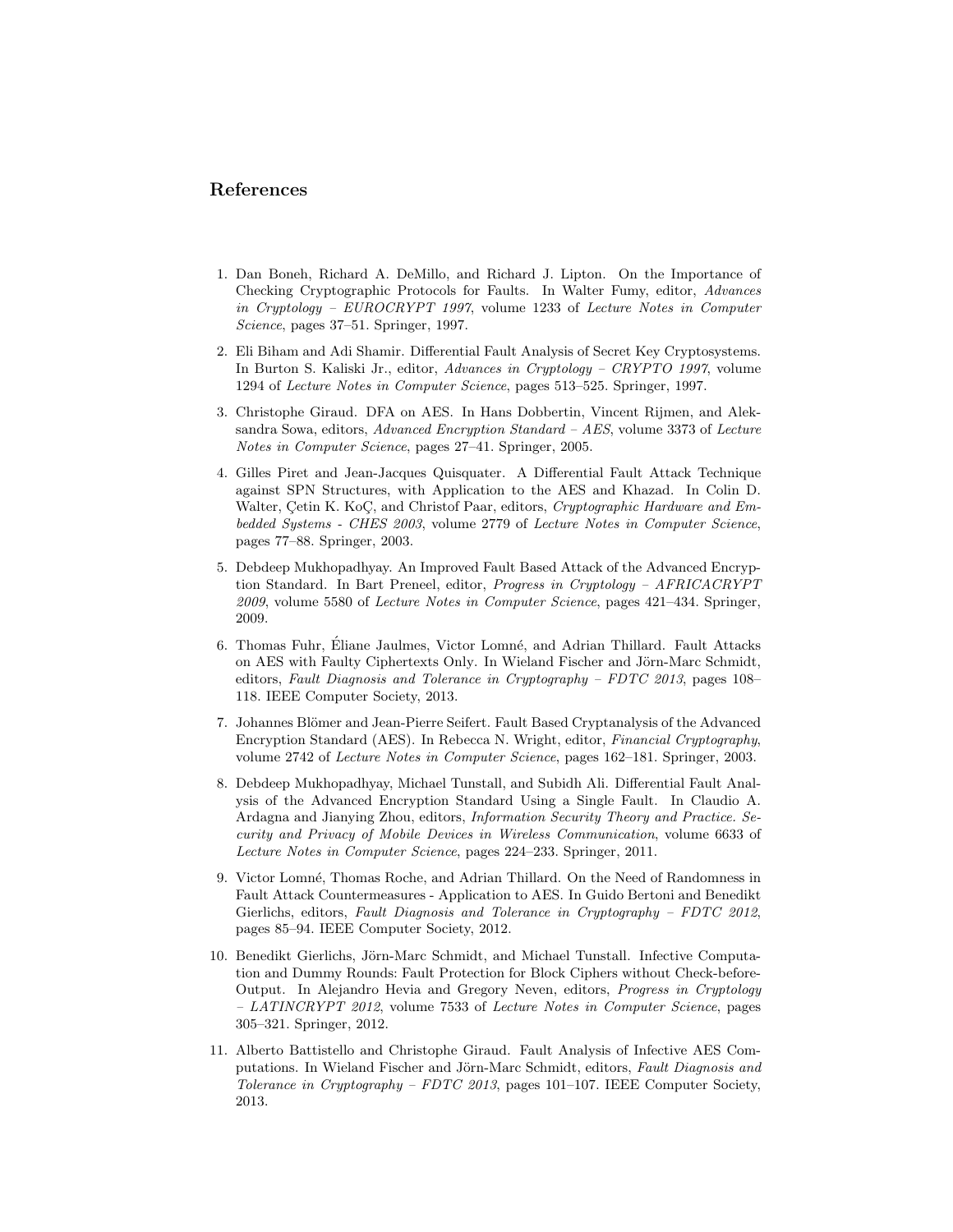### References

- 1. Dan Boneh, Richard A. DeMillo, and Richard J. Lipton. On the Importance of Checking Cryptographic Protocols for Faults. In Walter Fumy, editor, Advances in Cryptology – EUROCRYPT 1997, volume 1233 of Lecture Notes in Computer Science, pages 37–51. Springer, 1997.
- 2. Eli Biham and Adi Shamir. Differential Fault Analysis of Secret Key Cryptosystems. In Burton S. Kaliski Jr., editor, Advances in Cryptology – CRYPTO 1997, volume 1294 of Lecture Notes in Computer Science, pages 513–525. Springer, 1997.
- 3. Christophe Giraud. DFA on AES. In Hans Dobbertin, Vincent Rijmen, and Aleksandra Sowa, editors, Advanced Encryption Standard – AES, volume 3373 of Lecture Notes in Computer Science, pages 27–41. Springer, 2005.
- 4. Gilles Piret and Jean-Jacques Quisquater. A Differential Fault Attack Technique against SPN Structures, with Application to the AES and Khazad. In Colin D. Walter, Cetin K. KoC, and Christof Paar, editors, Cryptographic Hardware and Embedded Systems - CHES 2003, volume 2779 of Lecture Notes in Computer Science, pages 77–88. Springer, 2003.
- 5. Debdeep Mukhopadhyay. An Improved Fault Based Attack of the Advanced Encryption Standard. In Bart Preneel, editor, Progress in Cryptology – AFRICACRYPT 2009, volume 5580 of Lecture Notes in Computer Science, pages 421–434. Springer, 2009.
- 6. Thomas Fuhr, Éliane Jaulmes, Victor Lomné, and Adrian Thillard. Fault Attacks on AES with Faulty Ciphertexts Only. In Wieland Fischer and Jörn-Marc Schmidt, editors, Fault Diagnosis and Tolerance in Cryptography – FDTC 2013, pages 108– 118. IEEE Computer Society, 2013.
- 7. Johannes Blömer and Jean-Pierre Seifert. Fault Based Cryptanalysis of the Advanced Encryption Standard (AES). In Rebecca N. Wright, editor, Financial Cryptography, volume 2742 of Lecture Notes in Computer Science, pages 162–181. Springer, 2003.
- 8. Debdeep Mukhopadhyay, Michael Tunstall, and Subidh Ali. Differential Fault Analysis of the Advanced Encryption Standard Using a Single Fault. In Claudio A. Ardagna and Jianying Zhou, editors, Information Security Theory and Practice. Security and Privacy of Mobile Devices in Wireless Communication, volume 6633 of Lecture Notes in Computer Science, pages 224–233. Springer, 2011.
- 9. Victor Lomné, Thomas Roche, and Adrian Thillard. On the Need of Randomness in Fault Attack Countermeasures - Application to AES. In Guido Bertoni and Benedikt Gierlichs, editors, Fault Diagnosis and Tolerance in Cryptography – FDTC 2012, pages 85–94. IEEE Computer Society, 2012.
- 10. Benedikt Gierlichs, Jörn-Marc Schmidt, and Michael Tunstall. Infective Computation and Dummy Rounds: Fault Protection for Block Ciphers without Check-before-Output. In Alejandro Hevia and Gregory Neven, editors, Progress in Cryptology – LATINCRYPT 2012, volume 7533 of Lecture Notes in Computer Science, pages 305–321. Springer, 2012.
- 11. Alberto Battistello and Christophe Giraud. Fault Analysis of Infective AES Computations. In Wieland Fischer and Jörn-Marc Schmidt, editors, Fault Diagnosis and Tolerance in Cryptography – FDTC 2013, pages 101–107. IEEE Computer Society, 2013.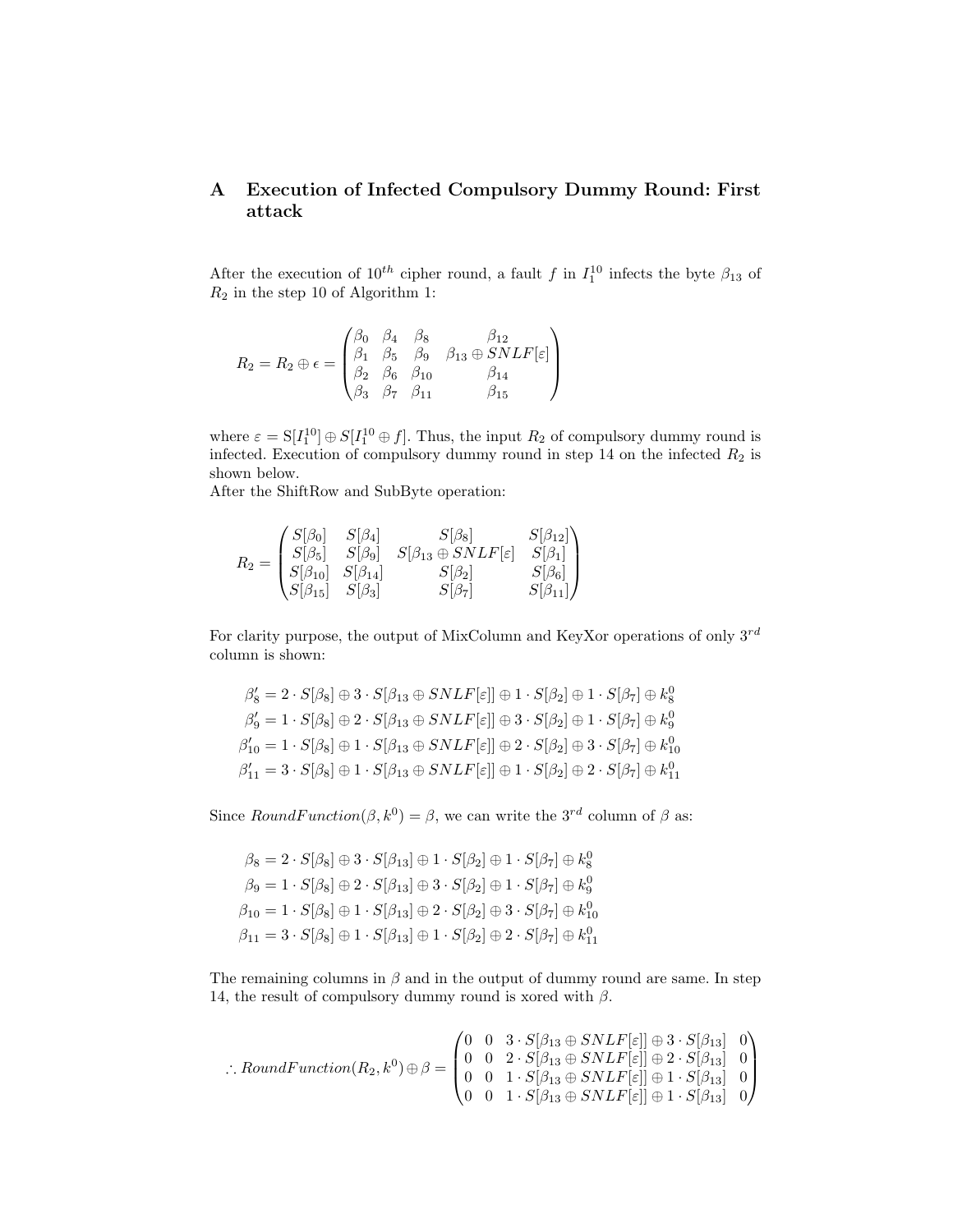# A Execution of Infected Compulsory Dummy Round: First attack

After the execution of  $10^{th}$  cipher round, a fault f in  $I_1^{10}$  infects the byte  $\beta_{13}$  of  $R_2$  in the step 10 of Algorithm 1:

$$
R_2 = R_2 \oplus \epsilon = \begin{pmatrix} \beta_0 & \beta_4 & \beta_8 & \beta_{12} \\ \beta_1 & \beta_5 & \beta_9 & \beta_{13} \oplus SNLF[\varepsilon] \\ \beta_2 & \beta_6 & \beta_{10} & \beta_{14} \\ \beta_3 & \beta_7 & \beta_{11} & \beta_{15} \end{pmatrix}
$$

where  $\varepsilon = \mathcal{S}[I_1^{10}] \oplus \mathcal{S}[I_1^{10} \oplus f]$ . Thus, the input  $R_2$  of compulsory dummy round is infected. Execution of compulsory dummy round in step 14 on the infected  $R_2$  is shown below.

After the ShiftRow and SubByte operation:

$$
R_2 = \begin{pmatrix} S[\beta_0] & S[\beta_4] & S[\beta_8] & S[\beta_{12}] \\ S[\beta_5] & S[\beta_9] & S[\beta_{13} \oplus SNLF[\varepsilon] & S[\beta_1] \\ S[\beta_{10}] & S[\beta_{14}] & S[\beta_2] & S[\beta_6] \\ S[\beta_{15}] & S[\beta_3] & S[\beta_7] & S[\beta_{11}] \end{pmatrix}
$$

For clarity purpose, the output of MixColumn and KeyXor operations of only  $3^{rd}$ column is shown:

$$
\begin{aligned} \beta_8' &= 2 \cdot S[\beta_8] \oplus 3 \cdot S[\beta_{13} \oplus SNLF[\varepsilon]] \oplus 1 \cdot S[\beta_2] \oplus 1 \cdot S[\beta_7] \oplus k_8^0 \\ \beta_9' &= 1 \cdot S[\beta_8] \oplus 2 \cdot S[\beta_{13} \oplus SNLF[\varepsilon]] \oplus 3 \cdot S[\beta_2] \oplus 1 \cdot S[\beta_7] \oplus k_9^0 \\ \beta_{10}' &= 1 \cdot S[\beta_8] \oplus 1 \cdot S[\beta_{13} \oplus SNLF[\varepsilon]] \oplus 2 \cdot S[\beta_2] \oplus 3 \cdot S[\beta_7] \oplus k_{10}^0 \\ \beta_{11}' &= 3 \cdot S[\beta_8] \oplus 1 \cdot S[\beta_{13} \oplus SNLF[\varepsilon]] \oplus 1 \cdot S[\beta_2] \oplus 2 \cdot S[\beta_7] \oplus k_{11}^0 \end{aligned}
$$

Since  $RoundFunction(\beta, k^0) = \beta$ , we can write the 3<sup>rd</sup> column of  $\beta$  as:

$$
\beta_8 = 2 \cdot S[\beta_8] \oplus 3 \cdot S[\beta_{13}] \oplus 1 \cdot S[\beta_2] \oplus 1 \cdot S[\beta_7] \oplus k_8^0
$$
  
\n
$$
\beta_9 = 1 \cdot S[\beta_8] \oplus 2 \cdot S[\beta_{13}] \oplus 3 \cdot S[\beta_2] \oplus 1 \cdot S[\beta_7] \oplus k_9^0
$$
  
\n
$$
\beta_{10} = 1 \cdot S[\beta_8] \oplus 1 \cdot S[\beta_{13}] \oplus 2 \cdot S[\beta_2] \oplus 3 \cdot S[\beta_7] \oplus k_{10}^0
$$
  
\n
$$
\beta_{11} = 3 \cdot S[\beta_8] \oplus 1 \cdot S[\beta_{13}] \oplus 1 \cdot S[\beta_2] \oplus 2 \cdot S[\beta_7] \oplus k_{11}^0
$$

The remaining columns in  $\beta$  and in the output of dummy round are same. In step 14, the result of compulsory dummy round is xored with  $\beta$ .

$$
\therefore RoundFunction(R_2, k^0) \oplus \beta = \begin{pmatrix} 0 & 0 & 3 \cdot S[\beta_{13} \oplus SNLF[\varepsilon]] \oplus 3 \cdot S[\beta_{13}] & 0 \\ 0 & 0 & 2 \cdot S[\beta_{13} \oplus SNLF[\varepsilon]] \oplus 2 \cdot S[\beta_{13}] & 0 \\ 0 & 0 & 1 \cdot S[\beta_{13} \oplus SNLF[\varepsilon]] \oplus 1 \cdot S[\beta_{13}] & 0 \\ 0 & 0 & 1 \cdot S[\beta_{13} \oplus SNLF[\varepsilon]] \oplus 1 \cdot S[\beta_{13}] & 0 \end{pmatrix}
$$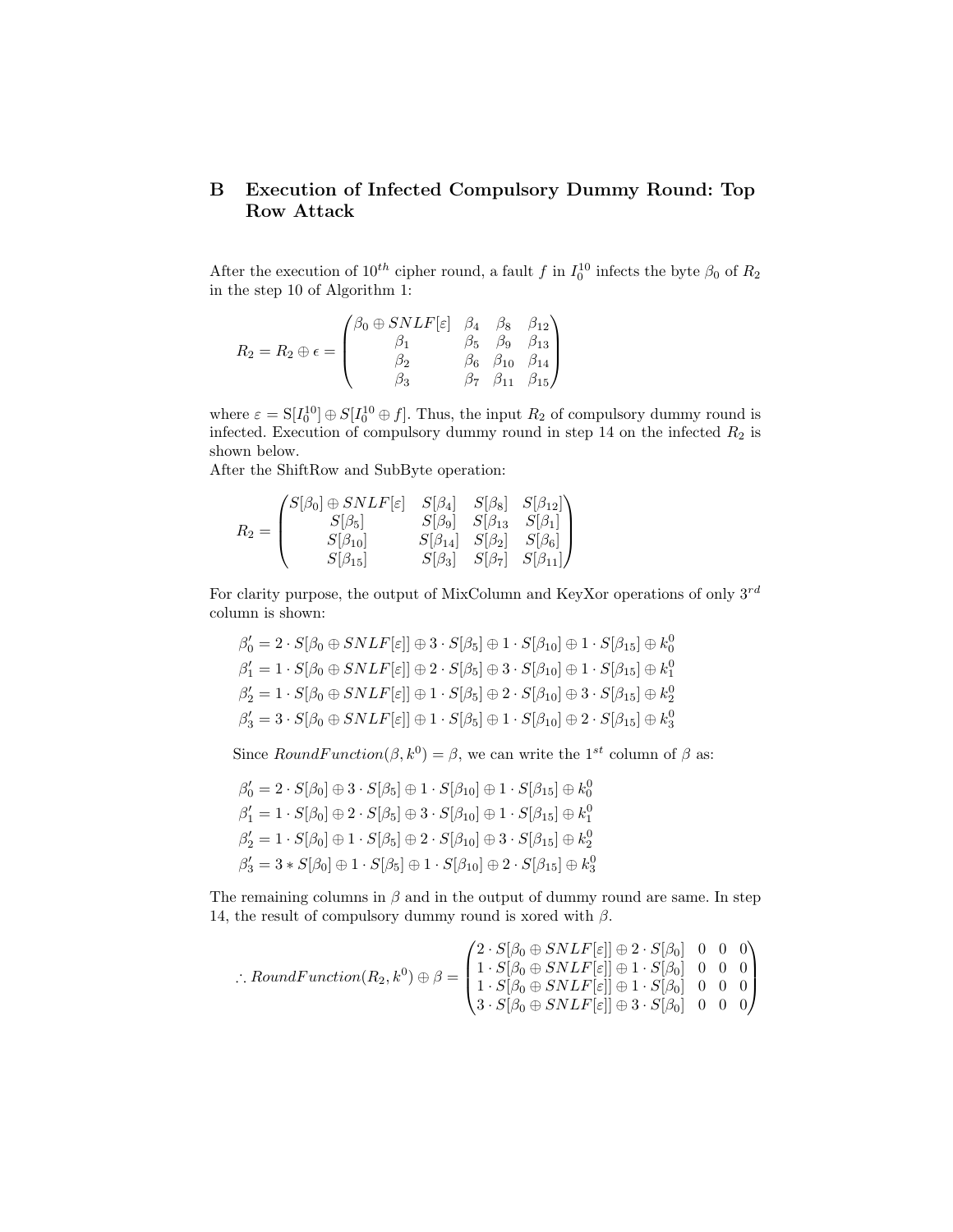# B Execution of Infected Compulsory Dummy Round: Top Row Attack

After the execution of  $10^{th}$  cipher round, a fault f in  $I_0^{10}$  infects the byte  $\beta_0$  of  $R_2$ in the step 10 of Algorithm 1:

$$
R_2 = R_2 \oplus \epsilon = \begin{pmatrix} \beta_0 \oplus SNLF[\epsilon] & \beta_4 & \beta_8 & \beta_{12} \\ \beta_1 & \beta_5 & \beta_9 & \beta_{13} \\ \beta_2 & \beta_6 & \beta_{10} & \beta_{14} \\ \beta_3 & \beta_7 & \beta_{11} & \beta_{15} \end{pmatrix}
$$

where  $\varepsilon = \mathcal{S}[I_0^{10}] \oplus \mathcal{S}[I_0^{10} \oplus f]$ . Thus, the input  $R_2$  of compulsory dummy round is infected. Execution of compulsory dummy round in step 14 on the infected  $R_2$  is shown below.

After the ShiftRow and SubByte operation:

$$
R_2=\begin{pmatrix} S[\beta_0]\oplus SNLF[\varepsilon] & S[\beta_4] & S[\beta_8] & S[\beta_{12}]} \\ S[\beta_5] & S[\beta_9] & S[\beta_{13} & S[\beta_1] \\ S[\beta_{10}] & S[\beta_{14}] & S[\beta_2] & S[\beta_6] \\ S[\beta_{15}] & S[\beta_3] & S[\beta_7] & S[\beta_{11}] \end{pmatrix}
$$

For clarity purpose, the output of MixColumn and KeyXor operations of only  $3^{rd}$ column is shown:

$$
\begin{aligned}\n\beta'_0 &= 2 \cdot S[\beta_0 \oplus SNLF[\varepsilon]] \oplus 3 \cdot S[\beta_5] \oplus 1 \cdot S[\beta_{10}] \oplus 1 \cdot S[\beta_{15}] \oplus k_0^0 \\
\beta'_1 &= 1 \cdot S[\beta_0 \oplus SNLF[\varepsilon]] \oplus 2 \cdot S[\beta_5] \oplus 3 \cdot S[\beta_{10}] \oplus 1 \cdot S[\beta_{15}] \oplus k_1^0 \\
\beta'_2 &= 1 \cdot S[\beta_0 \oplus SNLF[\varepsilon]] \oplus 1 \cdot S[\beta_5] \oplus 2 \cdot S[\beta_{10}] \oplus 3 \cdot S[\beta_{15}] \oplus k_2^0 \\
\beta'_3 &= 3 \cdot S[\beta_0 \oplus SNLF[\varepsilon]] \oplus 1 \cdot S[\beta_5] \oplus 1 \cdot S[\beta_{10}] \oplus 2 \cdot S[\beta_{15}] \oplus k_3^0\n\end{aligned}
$$

Since  $RoundFunction(\beta, k^0) = \beta$ , we can write the 1<sup>st</sup> column of  $\beta$  as:

$$
\begin{aligned}\n\beta'_0 &= 2 \cdot S[\beta_0] \oplus 3 \cdot S[\beta_5] \oplus 1 \cdot S[\beta_{10}] \oplus 1 \cdot S[\beta_{15}] \oplus k_0^0 \\
\beta'_1 &= 1 \cdot S[\beta_0] \oplus 2 \cdot S[\beta_5] \oplus 3 \cdot S[\beta_{10}] \oplus 1 \cdot S[\beta_{15}] \oplus k_1^0 \\
\beta'_2 &= 1 \cdot S[\beta_0] \oplus 1 \cdot S[\beta_5] \oplus 2 \cdot S[\beta_{10}] \oplus 3 \cdot S[\beta_{15}] \oplus k_2^0 \\
\beta'_3 &= 3 * S[\beta_0] \oplus 1 \cdot S[\beta_5] \oplus 1 \cdot S[\beta_{10}] \oplus 2 \cdot S[\beta_{15}] \oplus k_3^0\n\end{aligned}
$$

The remaining columns in  $\beta$  and in the output of dummy round are same. In step 14, the result of compulsory dummy round is xored with  $\beta$ .

$$
\therefore RoundFunction(R_2, k^0) \oplus \beta = \begin{pmatrix} 2 \cdot S[\beta_0 \oplus SNLF[\varepsilon]] \oplus 2 \cdot S[\beta_0] & 0 & 0 & 0 \\ 1 \cdot S[\beta_0 \oplus SNLF[\varepsilon]] \oplus 1 \cdot S[\beta_0] & 0 & 0 & 0 \\ 1 \cdot S[\beta_0 \oplus SNLF[\varepsilon]] \oplus 1 \cdot S[\beta_0] & 0 & 0 & 0 \\ 3 \cdot S[\beta_0 \oplus SNLF[\varepsilon]] \oplus 3 \cdot S[\beta_0] & 0 & 0 & 0 \end{pmatrix}
$$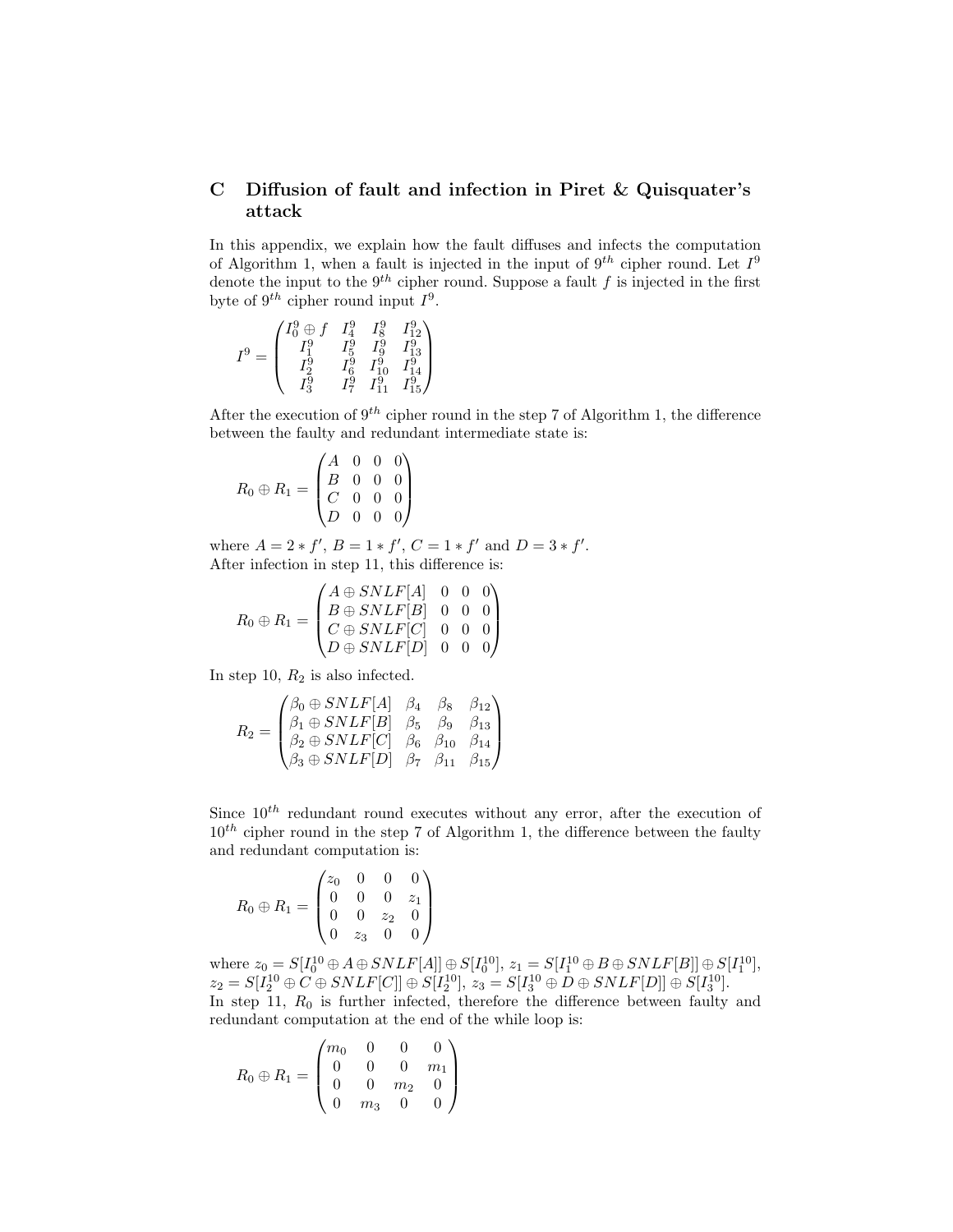# C Diffusion of fault and infection in Piret & Quisquater's attack

In this appendix, we explain how the fault diffuses and infects the computation of Algorithm 1, when a fault is injected in the input of  $9^{th}$  cipher round. Let  $I^9$ denote the input to the  $9^{th}$  cipher round. Suppose a fault f is injected in the first byte of  $9^{th}$  cipher round input  $I^9$ .

$$
I^9=\begin{pmatrix}I^9_0\oplus f & I^9_4 & I^9_8 & I^9_{12} \\ I^9_1 & I^9_5 & I^9_9 & I^9_{13} \\ I^9_2 & I^9_6 & I^9_{10} & I^9_{14} \\ I^9_3 & I^9_7 & I^9_{11} & I^9_{15}\end{pmatrix}
$$

After the execution of  $9^{th}$  cipher round in the step 7 of Algorithm 1, the difference between the faulty and redundant intermediate state is:

$$
R_0 \oplus R_1 = \begin{pmatrix} A & 0 & 0 & 0 \\ B & 0 & 0 & 0 \\ C & 0 & 0 & 0 \\ D & 0 & 0 & 0 \end{pmatrix}
$$

where  $A = 2 * f', B = 1 * f', C = 1 * f'$  and  $D = 3 * f'.$ After infection in step 11, this difference is:

$$
R_0 \oplus R_1 = \begin{pmatrix} A \oplus SNLF[A] & 0 & 0 & 0 \\ B \oplus SNLF[B] & 0 & 0 & 0 \\ C \oplus SNLF[C] & 0 & 0 & 0 \\ D \oplus SNLF[D] & 0 & 0 & 0 \end{pmatrix}
$$

In step 10,  $R_2$  is also infected.

$$
R_2 = \begin{pmatrix} \beta_0 \oplus SNLF[A] & \beta_4 & \beta_8 & \beta_{12} \\ \beta_1 \oplus SNLF[B] & \beta_5 & \beta_9 & \beta_{13} \\ \beta_2 \oplus SNLF[C] & \beta_6 & \beta_{10} & \beta_{14} \\ \beta_3 \oplus SNLF[D] & \beta_7 & \beta_{11} & \beta_{15} \end{pmatrix}
$$

Since  $10^{th}$  redundant round executes without any error, after the execution of  $10^{th}$  cipher round in the step 7 of Algorithm 1, the difference between the faulty and redundant computation is:

$$
R_0 \oplus R_1 = \begin{pmatrix} z_0 & 0 & 0 & 0 \\ 0 & 0 & 0 & z_1 \\ 0 & 0 & z_2 & 0 \\ 0 & z_3 & 0 & 0 \end{pmatrix}
$$

where  $z_0 = S[I_0^{10} \oplus A \oplus SNLF[A]] \oplus S[I_0^{10}], z_1 = S[I_1^{10} \oplus B \oplus SNLF[B]] \oplus S[I_1^{10}],$  $z_2 = S[I_2^{10} \oplus C \oplus SNLF[C]] \oplus S[I_2^{10}],$   $z_3 = S[I_3^{10} \oplus D \oplus SNLF[D]] \oplus S[I_3^{10}].$ In step 11,  $R_0$  is further infected, therefore the difference between faulty and redundant computation at the end of the while loop is:

$$
R_0 \oplus R_1 = \begin{pmatrix} m_0 & 0 & 0 & 0 \\ 0 & 0 & 0 & m_1 \\ 0 & 0 & m_2 & 0 \\ 0 & m_3 & 0 & 0 \end{pmatrix}
$$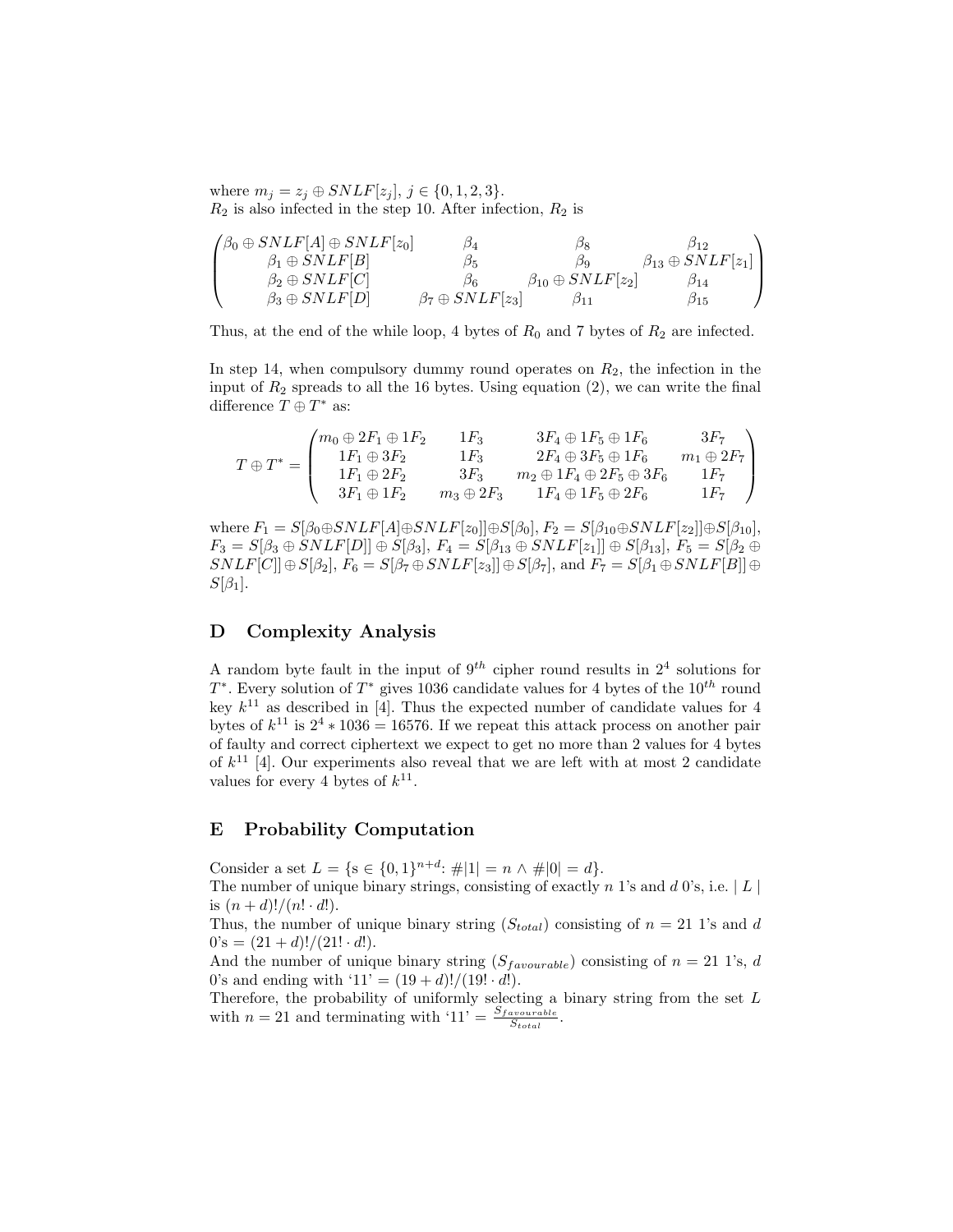where  $m_j = z_j \oplus SNLF[z_j], j \in \{0, 1, 2, 3\}.$  $R_2$  is also infected in the step 10. After infection,  $R_2$  is

$$
\begin{pmatrix}\n\beta_0 \oplus SNLF[A] \oplus SNLF[z_0] & \beta_4 & \beta_8 & \beta_{12} \\
\beta_1 \oplus SNLF[B] & \beta_5 & \beta_9 & \beta_{13} \oplus SNLF[z_1] \\
\beta_2 \oplus SNLF[C] & \beta_6 & \beta_{10} \oplus SNLF[z_2] & \beta_{14} \\
\beta_3 \oplus SNLF[D] & \beta_7 \oplus SNLF[z_3] & \beta_{11} & \beta_{15}\n\end{pmatrix}
$$

Thus, at the end of the while loop, 4 bytes of  $R_0$  and 7 bytes of  $R_2$  are infected.

In step 14, when compulsory dummy round operates on  $R_2$ , the infection in the input of  $R_2$  spreads to all the 16 bytes. Using equation (2), we can write the final difference  $T \oplus T^*$  as:

 $T \oplus T^* =$  $\sqrt{ }$  $\overline{\phantom{a}}$  $m_0 \oplus 2F_1 \oplus 1F_2$  1F<sub>3</sub>  $3F_4 \oplus 1F_5 \oplus 1F_6$   $3F_7$  $1F_1 \oplus 3F_2$  1F<sub>3</sub>  $2F_4 \oplus 3F_5 \oplus 1F_6$   $m_1 \oplus 2F_7$  $1F_1 \oplus 2F_2$   $3F_3$   $m_2 \oplus 1F_4 \oplus 2F_5 \oplus 3F_6$   $1F_7$  $3F_1 \oplus 1F_2$   $m_3 \oplus 2F_3$   $1F_4 \oplus 1F_5 \oplus 2F_6$   $1F_7$  $\setminus$  $\Big\}$ 

where  $F_1 = S[\beta_0 \oplus SNLF[A] \oplus SNLF[z_0] \oplus S[\beta_0], F_2 = S[\beta_{10} \oplus SNLF[z_2]] \oplus S[\beta_{10}],$  $F_3 = S[\beta_3 \oplus SNLF[D]] \oplus S[\beta_3], F_4 = S[\beta_{13} \oplus SNLF[z_1]] \oplus S[\beta_{13}], F_5 = S[\beta_2 \oplus S[\beta_3], F_6 = S[\beta_4], F_7 = S[\beta_5], F_8 = S[\beta_6], F_9 = S[\beta_7], F_9 = S[\beta_8], F_9 = S[\beta_9], F_9 = S[\beta_9], F_9 = S[\beta_9], F_9 = S[\beta_9], F_9 = S[\beta_9], F_9 = S[\beta_9], F_9 = S[\beta_9], F_9 = S[\beta_9], F_9 = S[\beta_9], F_9 = S[\beta$  $SNLF[C]] \oplus S[\beta_2], F_6 = S[\beta_7 \oplus SNLF[z_3]] \oplus S[\beta_7],$  and  $F_7 = S[\beta_1 \oplus SNLF[B]] \oplus S[\beta_7]$  $S[\beta_1]$ .

### D Complexity Analysis

A random byte fault in the input of  $9^{th}$  cipher round results in  $2^4$  solutions for  $T^*$ . Every solution of  $T^*$  gives 1036 candidate values for 4 bytes of the  $10^{th}$  round key  $k^{11}$  as described in [4]. Thus the expected number of candidate values for 4 bytes of  $k^{11}$  is  $2^4 * 1036 = 16576$ . If we repeat this attack process on another pair of faulty and correct ciphertext we expect to get no more than 2 values for 4 bytes of  $k^{11}$  [4]. Our experiments also reveal that we are left with at most 2 candidate values for every 4 bytes of  $k^{11}$ .

### E Probability Computation

Consider a set  $L = \{s \in \{0,1\}^{n+d} : \#|1| = n \wedge \#|0| = d\}.$ The number of unique binary strings, consisting of exactly  $n$  1's and  $d$  0's, i.e.  $|L|$ is  $(n + d)!/(n! \cdot d!)$ .

Thus, the number of unique binary string  $(S_{total})$  consisting of  $n = 21$  1's and d  $0's = (21+d)!/(21! \cdot d!).$ 

And the number of unique binary string  $(S_{favourable})$  consisting of  $n = 21$  1's, d 0's and ending with '11' =  $(19 + d)!/(19! \cdot d!)$ .

Therefore, the probability of uniformly selecting a binary string from the set  $L$ with  $n = 21$  and terminating with '11' =  $\frac{S_{favourable}}{S_{total}}$ .